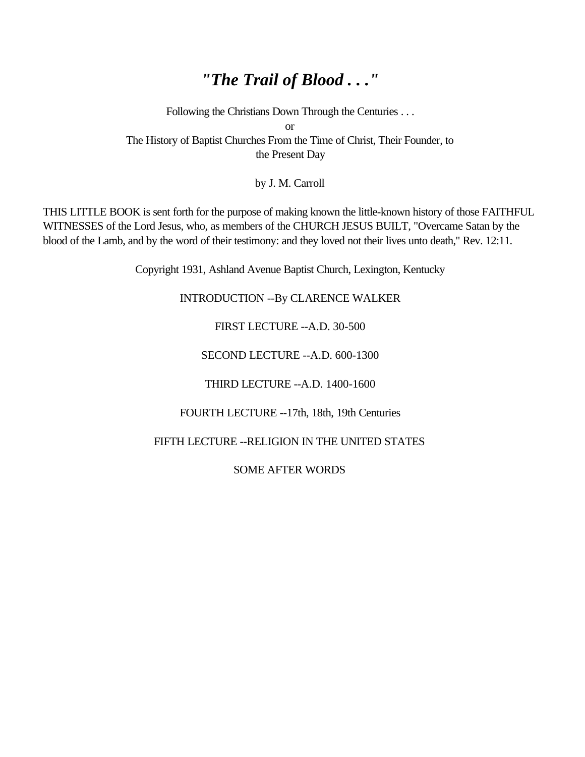# *"The Trail of Blood . . ."*

Following the Christians Down Through the Centuries . . . or The History of Baptist Churches From the Time of Christ, Their Founder, to the Present Day

by J. M. Carroll

THIS LITTLE BOOK is sent forth for the purpose of making known the little-known history of those FAITHFUL WITNESSES of the Lord Jesus, who, as members of the CHURCH JESUS BUILT, "Overcame Satan by the blood of the Lamb, and by the word of their testimony: and they loved not their lives unto death," Rev. 12:11.

Copyright 1931, Ashland Avenue Baptist Church, Lexington, Kentucky

INTRODUCTION --By CLARENCE WALKER

FIRST LECTURE --A.D. 30-500

SECOND LECTURE --A.D. 600-1300

THIRD LECTURE --A.D. 1400-1600

FOURTH LECTURE --17th, 18th, 19th Centuries

FIFTH LECTURE -- RELIGION IN THE UNITED STATES

SOME AFTER WORDS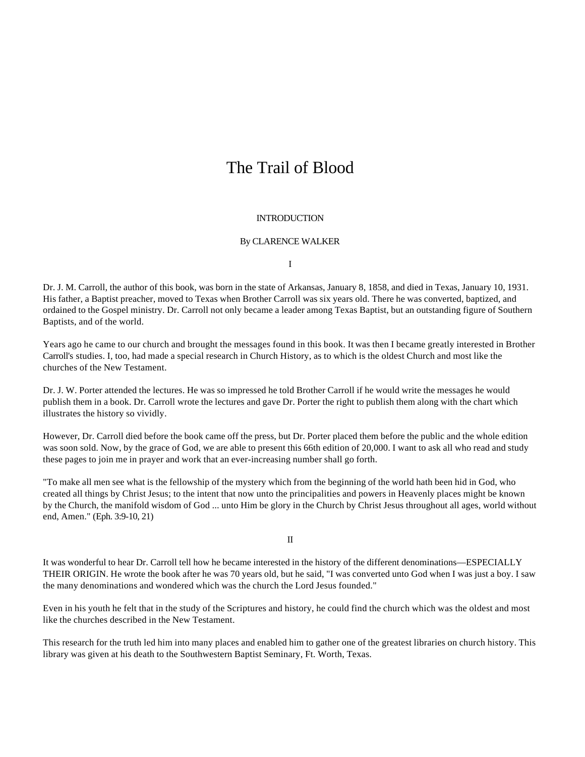# The Trail of Blood

#### **INTRODUCTION**

#### By CLARENCE WALKER

I

Dr. J. M. Carroll, the author of this book, was born in the state of Arkansas, January 8, 1858, and died in Texas, January 10, 1931. His father, a Baptist preacher, moved to Texas when Brother Carroll was six years old. There he was converted, baptized, and ordained to the Gospel ministry. Dr. Carroll not only became a leader among Texas Baptist, but an outstanding figure of Southern Baptists, and of the world.

Years ago he came to our church and brought the messages found in this book. It was then I became greatly interested in Brother Carroll's studies. I, too, had made a special research in Church History, as to which is the oldest Church and most like the churches of the New Testament.

Dr. J. W. Porter attended the lectures. He was so impressed he told Brother Carroll if he would write the messages he would publish them in a book. Dr. Carroll wrote the lectures and gave Dr. Porter the right to publish them along with the chart which illustrates the history so vividly.

However, Dr. Carroll died before the book came off the press, but Dr. Porter placed them before the public and the whole edition was soon sold. Now, by the grace of God, we are able to present this 66th edition of 20,000. I want to ask all who read and study these pages to join me in prayer and work that an ever-increasing number shall go forth.

"To make all men see what is the fellowship of the mystery which from the beginning of the world hath been hid in God, who created all things by Christ Jesus; to the intent that now unto the principalities and powers in Heavenly places might be known by the Church, the manifold wisdom of God ... unto Him be glory in the Church by Christ Jesus throughout all ages, world without end, Amen." (Eph. 3:9-10, 21)

II

It was wonderful to hear Dr. Carroll tell how he became interested in the history of the different denominations—ESPECIALLY THEIR ORIGIN. He wrote the book after he was 70 years old, but he said, "I was converted unto God when I was just a boy. I saw the many denominations and wondered which was the church the Lord Jesus founded."

Even in his youth he felt that in the study of the Scriptures and history, he could find the church which was the oldest and most like the churches described in the New Testament.

This research for the truth led him into many places and enabled him to gather one of the greatest libraries on church history. This library was given at his death to the Southwestern Baptist Seminary, Ft. Worth, Texas.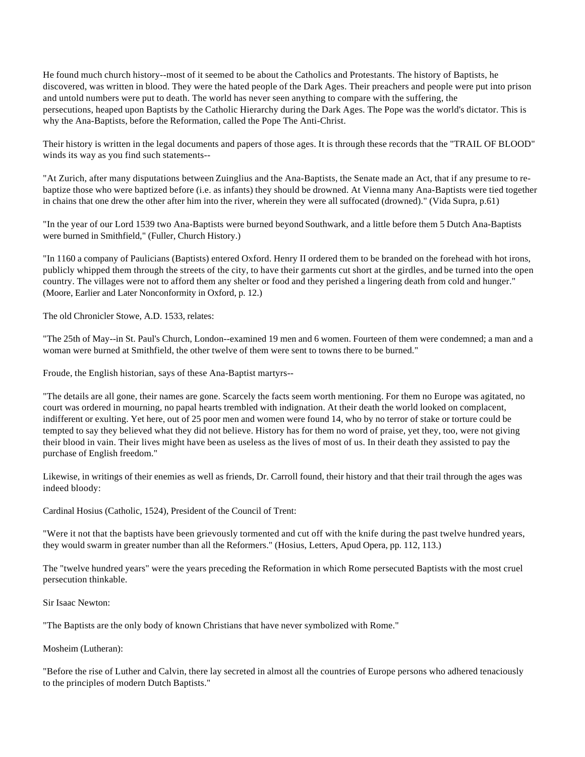He found much church history--most of it seemed to be about the Catholics and Protestants. The history of Baptists, he discovered, was written in blood. They were the hated people of the Dark Ages. Their preachers and people were put into prison and untold numbers were put to death. The world has never seen anything to compare with the suffering, the persecutions, heaped upon Baptists by the Catholic Hierarchy during the Dark Ages. The Pope was the world's dictator. This is why the Ana-Baptists, before the Reformation, called the Pope The Anti-Christ.

Their history is written in the legal documents and papers of those ages. It is through these records that the "TRAIL OF BLOOD" winds its way as you find such statements--

"At Zurich, after many disputations between Zuinglius and the Ana-Baptists, the Senate made an Act, that if any presume to rebaptize those who were baptized before (i.e. as infants) they should be drowned. At Vienna many Ana-Baptists were tied together in chains that one drew the other after him into the river, wherein they were all suffocated (drowned)." (Vida Supra, p.61)

"In the year of our Lord 1539 two Ana-Baptists were burned beyond Southwark, and a little before them 5 Dutch Ana-Baptists were burned in Smithfield," (Fuller, Church History.)

"In 1160 a company of Paulicians (Baptists) entered Oxford. Henry II ordered them to be branded on the forehead with hot irons, publicly whipped them through the streets of the city, to have their garments cut short at the girdles, and be turned into the open country. The villages were not to afford them any shelter or food and they perished a lingering death from cold and hunger." (Moore, Earlier and Later Nonconformity in Oxford, p. 12.)

The old Chronicler Stowe, A.D. 1533, relates:

"The 25th of May--in St. Paul's Church, London--examined 19 men and 6 women. Fourteen of them were condemned; a man and a woman were burned at Smithfield, the other twelve of them were sent to towns there to be burned."

Froude, the English historian, says of these Ana-Baptist martyrs--

"The details are all gone, their names are gone. Scarcely the facts seem worth mentioning. For them no Europe was agitated, no court was ordered in mourning, no papal hearts trembled with indignation. At their death the world looked on complacent, indifferent or exulting. Yet here, out of 25 poor men and women were found 14, who by no terror of stake or torture could be tempted to say they believed what they did not believe. History has for them no word of praise, yet they, too, were not giving their blood in vain. Their lives might have been as useless as the lives of most of us. In their death they assisted to pay the purchase of English freedom."

Likewise, in writings of their enemies as well as friends, Dr. Carroll found, their history and that their trail through the ages was indeed bloody:

Cardinal Hosius (Catholic, 1524), President of the Council of Trent:

"Were it not that the baptists have been grievously tormented and cut off with the knife during the past twelve hundred years, they would swarm in greater number than all the Reformers." (Hosius, Letters, Apud Opera, pp. 112, 113.)

The "twelve hundred years" were the years preceding the Reformation in which Rome persecuted Baptists with the most cruel persecution thinkable.

Sir Isaac Newton:

"The Baptists are the only body of known Christians that have never symbolized with Rome."

Mosheim (Lutheran):

"Before the rise of Luther and Calvin, there lay secreted in almost all the countries of Europe persons who adhered tenaciously to the principles of modern Dutch Baptists."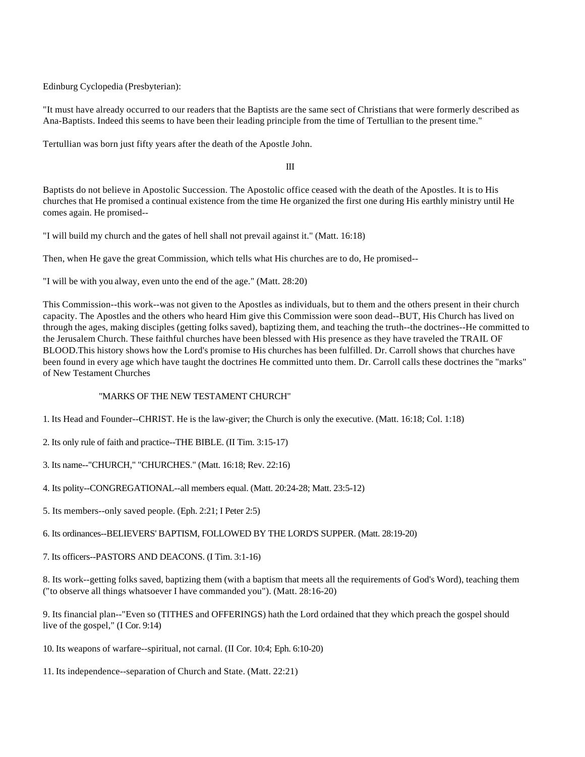Edinburg Cyclopedia (Presbyterian):

"It must have already occurred to our readers that the Baptists are the same sect of Christians that were formerly described as Ana-Baptists. Indeed this seems to have been their leading principle from the time of Tertullian to the present time."

Tertullian was born just fifty years after the death of the Apostle John.

III

Baptists do not believe in Apostolic Succession. The Apostolic office ceased with the death of the Apostles. It is to His churches that He promised a continual existence from the time He organized the first one during His earthly ministry until He comes again. He promised--

"I will build my church and the gates of hell shall not prevail against it." (Matt. 16:18)

Then, when He gave the great Commission, which tells what His churches are to do, He promised--

"I will be with you alway, even unto the end of the age." (Matt. 28:20)

This Commission--this work--was not given to the Apostles as individuals, but to them and the others present in their church capacity. The Apostles and the others who heard Him give this Commission were soon dead--BUT, His Church has lived on through the ages, making disciples (getting folks saved), baptizing them, and teaching the truth--the doctrines--He committed to the Jerusalem Church. These faithful churches have been blessed with His presence as they have traveled the TRAIL OF BLOOD.This history shows how the Lord's promise to His churches has been fulfilled. Dr. Carroll shows that churches have been found in every age which have taught the doctrines He committed unto them. Dr. Carroll calls these doctrines the "marks" of New Testament Churches

## "MARKS OF THE NEW TESTAMENT CHURCH"

1. Its Head and Founder--CHRIST. He is the law-giver; the Church is only the executive. (Matt. 16:18; Col. 1:18)

2. Its only rule of faith and practice--THE BIBLE. (II Tim. 3:15-17)

3. Its name--"CHURCH," "CHURCHES." (Matt. 16:18; Rev. 22:16)

4. Its polity--CONGREGATIONAL--all members equal. (Matt. 20:24-28; Matt. 23:5-12)

5. Its members--only saved people. (Eph. 2:21; I Peter 2:5)

6. Its ordinances--BELIEVERS' BAPTISM, FOLLOWED BY THE LORD'S SUPPER. (Matt. 28:19-20)

7. Its officers--PASTORS AND DEACONS. (I Tim. 3:1-16)

8. Its work--getting folks saved, baptizing them (with a baptism that meets all the requirements of God's Word), teaching them ("to observe all things whatsoever I have commanded you"). (Matt. 28:16-20)

9. Its financial plan--"Even so (TITHES and OFFERINGS) hath the Lord ordained that they which preach the gospel should live of the gospel," (I Cor. 9:14)

10. Its weapons of warfare--spiritual, not carnal. (II Cor. 10:4; Eph. 6:10-20)

11. Its independence--separation of Church and State. (Matt. 22:21)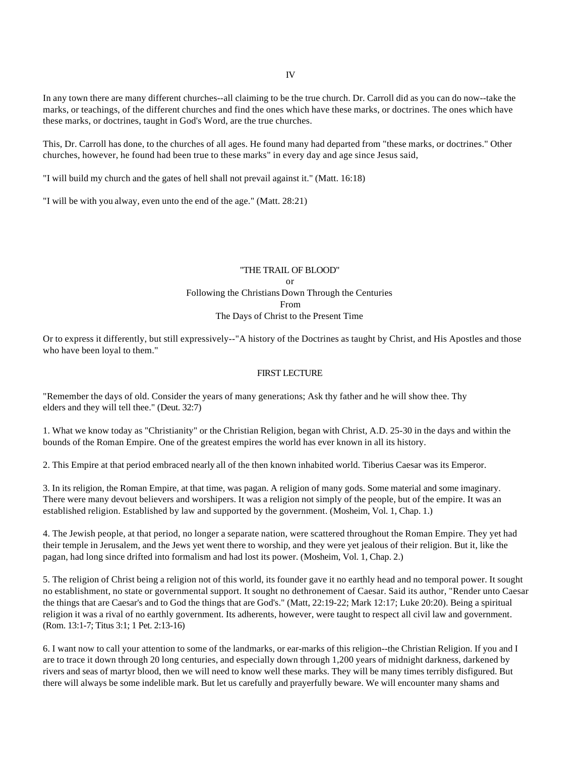In any town there are many different churches--all claiming to be the true church. Dr. Carroll did as you can do now--take the marks, or teachings, of the different churches and find the ones which have these marks, or doctrines. The ones which have these marks, or doctrines, taught in God's Word, are the true churches.

This, Dr. Carroll has done, to the churches of all ages. He found many had departed from "these marks, or doctrines." Other churches, however, he found had been true to these marks" in every day and age since Jesus said,

"I will build my church and the gates of hell shall not prevail against it." (Matt. 16:18)

"I will be with you alway, even unto the end of the age." (Matt. 28:21)

## "THE TRAIL OF BLOOD" or Following the Christians Down Through the Centuries From The Days of Christ to the Present Time

Or to express it differently, but still expressively--"A history of the Doctrines as taught by Christ, and His Apostles and those who have been loyal to them."

#### FIRST LECTURE

"Remember the days of old. Consider the years of many generations; Ask thy father and he will show thee. Thy elders and they will tell thee." (Deut. 32:7)

1. What we know today as "Christianity" or the Christian Religion, began with Christ, A.D. 25-30 in the days and within the bounds of the Roman Empire. One of the greatest empires the world has ever known in all its history.

2. This Empire at that period embraced nearly all of the then known inhabited world. Tiberius Caesar was its Emperor.

3. In its religion, the Roman Empire, at that time, was pagan. A religion of many gods. Some material and some imaginary. There were many devout believers and worshipers. It was a religion not simply of the people, but of the empire. It was an established religion. Established by law and supported by the government. (Mosheim, Vol. 1, Chap. 1.)

4. The Jewish people, at that period, no longer a separate nation, were scattered throughout the Roman Empire. They yet had their temple in Jerusalem, and the Jews yet went there to worship, and they were yet jealous of their religion. But it, like the pagan, had long since drifted into formalism and had lost its power. (Mosheim, Vol. 1, Chap. 2.)

5. The religion of Christ being a religion not of this world, its founder gave it no earthly head and no temporal power. It sought no establishment, no state or governmental support. It sought no dethronement of Caesar. Said its author, "Render unto Caesar the things that are Caesar's and to God the things that are God's." (Matt, 22:19-22; Mark 12:17; Luke 20:20). Being a spiritual religion it was a rival of no earthly government. Its adherents, however, were taught to respect all civil law and government. (Rom. 13:1-7; Titus 3:1; 1 Pet. 2:13-16)

6. I want now to call your attention to some of the landmarks, or ear-marks of this religion--the Christian Religion. If you and I are to trace it down through 20 long centuries, and especially down through 1,200 years of midnight darkness, darkened by rivers and seas of martyr blood, then we will need to know well these marks. They will be many times terribly disfigured. But there will always be some indelible mark. But let us carefully and prayerfully beware. We will encounter many shams and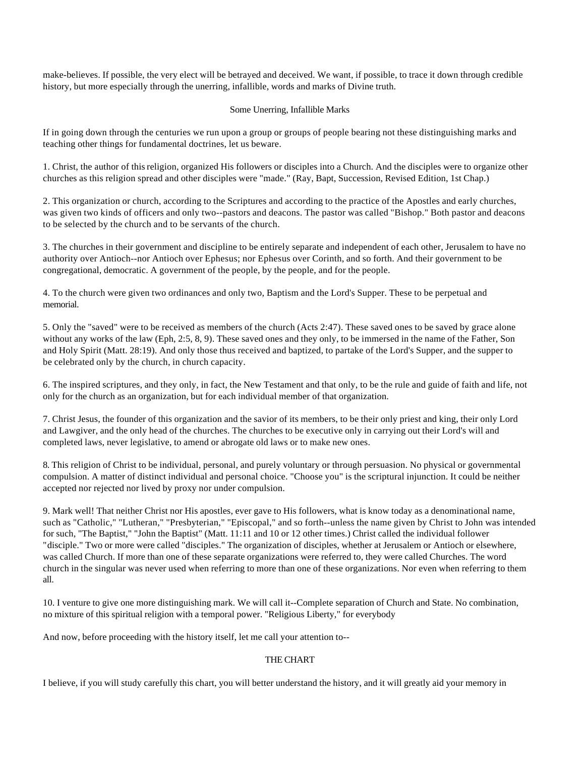make-believes. If possible, the very elect will be betrayed and deceived. We want, if possible, to trace it down through credible history, but more especially through the unerring, infallible, words and marks of Divine truth.

## Some Unerring, Infallible Marks

If in going down through the centuries we run upon a group or groups of people bearing not these distinguishing marks and teaching other things for fundamental doctrines, let us beware.

1. Christ, the author of this religion, organized His followers or disciples into a Church. And the disciples were to organize other churches as this religion spread and other disciples were "made." (Ray, Bapt, Succession, Revised Edition, 1st Chap.)

2. This organization or church, according to the Scriptures and according to the practice of the Apostles and early churches, was given two kinds of officers and only two--pastors and deacons. The pastor was called "Bishop." Both pastor and deacons to be selected by the church and to be servants of the church.

3. The churches in their government and discipline to be entirely separate and independent of each other, Jerusalem to have no authority over Antioch--nor Antioch over Ephesus; nor Ephesus over Corinth, and so forth. And their government to be congregational, democratic. A government of the people, by the people, and for the people.

4. To the church were given two ordinances and only two, Baptism and the Lord's Supper. These to be perpetual and memorial.

5. Only the "saved" were to be received as members of the church (Acts 2:47). These saved ones to be saved by grace alone without any works of the law (Eph, 2:5, 8, 9). These saved ones and they only, to be immersed in the name of the Father, Son and Holy Spirit (Matt. 28:19). And only those thus received and baptized, to partake of the Lord's Supper, and the supper to be celebrated only by the church, in church capacity.

6. The inspired scriptures, and they only, in fact, the New Testament and that only, to be the rule and guide of faith and life, not only for the church as an organization, but for each individual member of that organization.

7. Christ Jesus, the founder of this organization and the savior of its members, to be their only priest and king, their only Lord and Lawgiver, and the only head of the churches. The churches to be executive only in carrying out their Lord's will and completed laws, never legislative, to amend or abrogate old laws or to make new ones.

8. This religion of Christ to be individual, personal, and purely voluntary or through persuasion. No physical or governmental compulsion. A matter of distinct individual and personal choice. "Choose you" is the scriptural injunction. It could be neither accepted nor rejected nor lived by proxy nor under compulsion.

9. Mark well! That neither Christ nor His apostles, ever gave to His followers, what is know today as a denominational name, such as "Catholic," "Lutheran," "Presbyterian," "Episcopal," and so forth--unless the name given by Christ to John was intended for such, "The Baptist," "John the Baptist" (Matt. 11:11 and 10 or 12 other times.) Christ called the individual follower "disciple." Two or more were called "disciples." The organization of disciples, whether at Jerusalem or Antioch or elsewhere, was called Church. If more than one of these separate organizations were referred to, they were called Churches. The word church in the singular was never used when referring to more than one of these organizations. Nor even when referring to them all.

10. I venture to give one more distinguishing mark. We will call it--Complete separation of Church and State. No combination, no mixture of this spiritual religion with a temporal power. "Religious Liberty," for everybody

And now, before proceeding with the history itself, let me call your attention to--

## THE CHART

I believe, if you will study carefully this chart, you will better understand the history, and it will greatly aid your memory in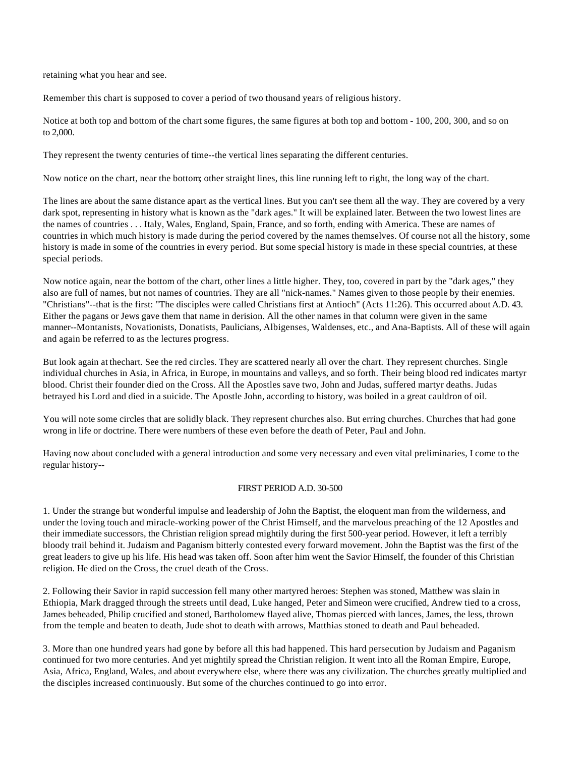retaining what you hear and see.

Remember this chart is supposed to cover a period of two thousand years of religious history.

Notice at both top and bottom of the chart some figures, the same figures at both top and bottom - 100, 200, 300, and so on to 2,000.

They represent the twenty centuries of time--the vertical lines separating the different centuries.

Now notice on the chart, near the bottom; other straight lines, this line running left to right, the long way of the chart.

The lines are about the same distance apart as the vertical lines. But you can't see them all the way. They are covered by a very dark spot, representing in history what is known as the "dark ages." It will be explained later. Between the two lowest lines are the names of countries . . . Italy, Wales, England, Spain, France, and so forth, ending with America. These are names of countries in which much history is made during the period covered by the names themselves. Of course not all the history, some history is made in some of the countries in every period. But some special history is made in these special countries, at these special periods.

Now notice again, near the bottom of the chart, other lines a little higher. They, too, covered in part by the "dark ages," they also are full of names, but not names of countries. They are all "nick-names." Names given to those people by their enemies. "Christians"--that is the first: "The disciples were called Christians first at Antioch" (Acts 11:26). This occurred about A.D. 43. Either the pagans or Jews gave them that name in derision. All the other names in that column were given in the same manner--Montanists, Novationists, Donatists, Paulicians, Albigenses, Waldenses, etc., and Ana-Baptists. All of these will again and again be referred to as the lectures progress.

But look again at thechart. See the red circles. They are scattered nearly all over the chart. They represent churches. Single individual churches in Asia, in Africa, in Europe, in mountains and valleys, and so forth. Their being blood red indicates martyr blood. Christ their founder died on the Cross. All the Apostles save two, John and Judas, suffered martyr deaths. Judas betrayed his Lord and died in a suicide. The Apostle John, according to history, was boiled in a great cauldron of oil.

You will note some circles that are solidly black. They represent churches also. But erring churches. Churches that had gone wrong in life or doctrine. There were numbers of these even before the death of Peter, Paul and John.

Having now about concluded with a general introduction and some very necessary and even vital preliminaries, I come to the regular history--

### FIRST PERIOD A.D. 30-500

1. Under the strange but wonderful impulse and leadership of John the Baptist, the eloquent man from the wilderness, and under the loving touch and miracle-working power of the Christ Himself, and the marvelous preaching of the 12 Apostles and their immediate successors, the Christian religion spread mightily during the first 500-year period. However, it left a terribly bloody trail behind it. Judaism and Paganism bitterly contested every forward movement. John the Baptist was the first of the great leaders to give up his life. His head was taken off. Soon after him went the Savior Himself, the founder of this Christian religion. He died on the Cross, the cruel death of the Cross.

2. Following their Savior in rapid succession fell many other martyred heroes: Stephen was stoned, Matthew was slain in Ethiopia, Mark dragged through the streets until dead, Luke hanged, Peter and Simeon were crucified, Andrew tied to a cross, James beheaded, Philip crucified and stoned, Bartholomew flayed alive, Thomas pierced with lances, James, the less, thrown from the temple and beaten to death, Jude shot to death with arrows, Matthias stoned to death and Paul beheaded.

3. More than one hundred years had gone by before all this had happened. This hard persecution by Judaism and Paganism continued for two more centuries. And yet mightily spread the Christian religion. It went into all the Roman Empire, Europe, Asia, Africa, England, Wales, and about everywhere else, where there was any civilization. The churches greatly multiplied and the disciples increased continuously. But some of the churches continued to go into error.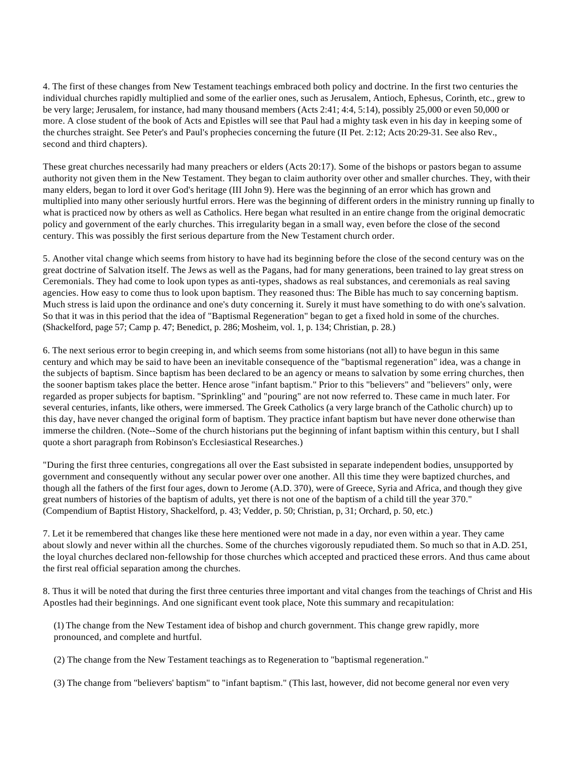4. The first of these changes from New Testament teachings embraced both policy and doctrine. In the first two centuries the individual churches rapidly multiplied and some of the earlier ones, such as Jerusalem, Antioch, Ephesus, Corinth, etc., grew to be very large; Jerusalem, for instance, had many thousand members (Acts 2:41; 4:4, 5:14), possibly 25,000 or even 50,000 or more. A close student of the book of Acts and Epistles will see that Paul had a mighty task even in his day in keeping some of the churches straight. See Peter's and Paul's prophecies concerning the future (II Pet. 2:12; Acts 20:29-31. See also Rev., second and third chapters).

These great churches necessarily had many preachers or elders (Acts 20:17). Some of the bishops or pastors began to assume authority not given them in the New Testament. They began to claim authority over other and smaller churches. They, with their many elders, began to lord it over God's heritage (III John 9). Here was the beginning of an error which has grown and multiplied into many other seriously hurtful errors. Here was the beginning of different orders in the ministry running up finally to what is practiced now by others as well as Catholics. Here began what resulted in an entire change from the original democratic policy and government of the early churches. This irregularity began in a small way, even before the close of the second century. This was possibly the first serious departure from the New Testament church order.

5. Another vital change which seems from history to have had its beginning before the close of the second century was on the great doctrine of Salvation itself. The Jews as well as the Pagans, had for many generations, been trained to lay great stress on Ceremonials. They had come to look upon types as anti-types, shadows as real substances, and ceremonials as real saving agencies. How easy to come thus to look upon baptism. They reasoned thus: The Bible has much to say concerning baptism. Much stress is laid upon the ordinance and one's duty concerning it. Surely it must have something to do with one's salvation. So that it was in this period that the idea of "Baptismal Regeneration" began to get a fixed hold in some of the churches. (Shackelford, page 57; Camp p. 47; Benedict, p. 286; Mosheim, vol. 1, p. 134; Christian, p. 28.)

6. The next serious error to begin creeping in, and which seems from some historians (not all) to have begun in this same century and which may be said to have been an inevitable consequence of the "baptismal regeneration" idea, was a change in the subjects of baptism. Since baptism has been declared to be an agency or means to salvation by some erring churches, then the sooner baptism takes place the better. Hence arose "infant baptism." Prior to this "believers" and "believers" only, were regarded as proper subjects for baptism. "Sprinkling" and "pouring" are not now referred to. These came in much later. For several centuries, infants, like others, were immersed. The Greek Catholics (a very large branch of the Catholic church) up to this day, have never changed the original form of baptism. They practice infant baptism but have never done otherwise than immerse the children. (Note--Some of the church historians put the beginning of infant baptism within this century, but I shall quote a short paragraph from Robinson's Ecclesiastical Researches.)

"During the first three centuries, congregations all over the East subsisted in separate independent bodies, unsupported by government and consequently without any secular power over one another. All this time they were baptized churches, and though all the fathers of the first four ages, down to Jerome (A.D. 370), were of Greece, Syria and Africa, and though they give great numbers of histories of the baptism of adults, yet there is not one of the baptism of a child till the year 370." (Compendium of Baptist History, Shackelford, p. 43; Vedder, p. 50; Christian, p, 31; Orchard, p. 50, etc.)

7. Let it be remembered that changes like these here mentioned were not made in a day, nor even within a year. They came about slowly and never within all the churches. Some of the churches vigorously repudiated them. So much so that in A.D. 251, the loyal churches declared non-fellowship for those churches which accepted and practiced these errors. And thus came about the first real official separation among the churches.

8. Thus it will be noted that during the first three centuries three important and vital changes from the teachings of Christ and His Apostles had their beginnings. And one significant event took place, Note this summary and recapitulation:

 (1) The change from the New Testament idea of bishop and church government. This change grew rapidly, more pronounced, and complete and hurtful.

(2) The change from the New Testament teachings as to Regeneration to "baptismal regeneration."

(3) The change from "believers' baptism" to "infant baptism." (This last, however, did not become general nor even very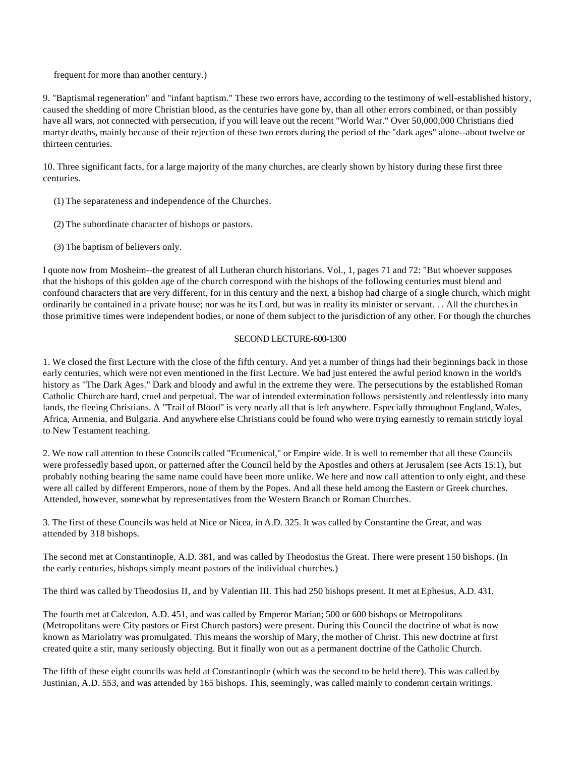frequent for more than another century.)

9. "Baptismal regeneration" and "infant baptism." These two errors have, according to the testimony of well-established history, caused the shedding of more Christian blood, as the centuries have gone by, than all other errors combined, or than possibly have all wars, not connected with persecution, if you will leave out the recent "World War." Over 50,000,000 Christians died martyr deaths, mainly because of their rejection of these two errors during the period of the "dark ages" alone--about twelve or thirteen centuries.

10. Three significant facts, for a large majority of the many churches, are clearly shown by history during these first three centuries.

- (1) The separateness and independence of the Churches.
- (2) The subordinate character of bishops or pastors.
- (3) The baptism of believers only.

I quote now from Mosheim--the greatest of all Lutheran church historians. Vol., 1, pages 71 and 72: "But whoever supposes that the bishops of this golden age of the church correspond with the bishops of the following centuries must blend and confound characters that are very different, for in this century and the next, a bishop had charge of a single church, which might ordinarily be contained in a private house; nor was he its Lord, but was in reality its minister or servant. . . All the churches in those primitive times were independent bodies, or none of them subject to the jurisdiction of any other. For though the churches

#### SECOND LECTURE-600-1300

1. We closed the first Lecture with the close of the fifth century. And yet a number of things had their beginnings back in those early centuries, which were not even mentioned in the first Lecture. We had just entered the awful period known in the world's history as "The Dark Ages." Dark and bloody and awful in the extreme they were. The persecutions by the established Roman Catholic Church are hard, cruel and perpetual. The war of intended extermination follows persistently and relentlessly into many lands, the fleeing Christians. A "Trail of Blood" is very nearly all that is left anywhere. Especially throughout England, Wales, Africa, Armenia, and Bulgaria. And anywhere else Christians could be found who were trying earnestly to remain strictly loyal to New Testament teaching.

2. We now call attention to these Councils called "Ecumenical," or Empire wide. It is well to remember that all these Councils were professedly based upon, or patterned after the Council held by the Apostles and others at Jerusalem (see Acts 15:1), but probably nothing bearing the same name could have been more unlike. We here and now call attention to only eight, and these were all called by different Emperors, none of them by the Popes. And all these held among the Eastern or Greek churches. Attended, however, somewhat by representatives from the Western Branch or Roman Churches.

3. The first of these Councils was held at Nice or Nicea, in A.D. 325. It was called by Constantine the Great, and was attended by 318 bishops.

The second met at Constantinople, A.D. 381, and was called by Theodosius the Great. There were present 150 bishops. (In the early centuries, bishops simply meant pastors of the individual churches.)

The third was called by Theodosius II, and by Valentian III. This had 250 bishops present. It met at Ephesus, A.D. 431.

The fourth met at Calcedon, A.D. 451, and was called by Emperor Marian; 500 or 600 bishops or Metropolitans (Metropolitans were City pastors or First Church pastors) were present. During this Council the doctrine of what is now known as Mariolatry was promulgated. This means the worship of Mary, the mother of Christ. This new doctrine at first created quite a stir, many seriously objecting. But it finally won out as a permanent doctrine of the Catholic Church.

The fifth of these eight councils was held at Constantinople (which was the second to be held there). This was called by Justinian, A.D. 553, and was attended by 165 bishops. This, seemingly, was called mainly to condemn certain writings.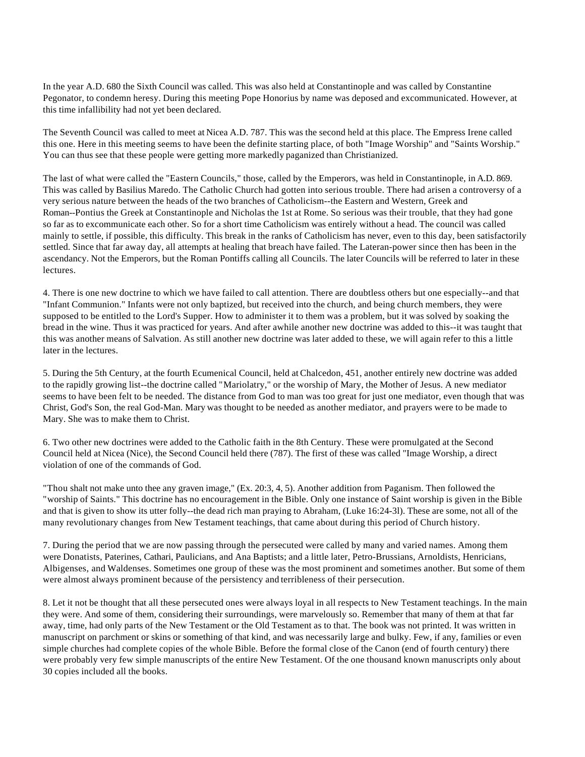In the year A.D. 680 the Sixth Council was called. This was also held at Constantinople and was called by Constantine Pegonator, to condemn heresy. During this meeting Pope Honorius by name was deposed and excommunicated. However, at this time infallibility had not yet been declared.

The Seventh Council was called to meet at Nicea A.D. 787. This was the second held at this place. The Empress Irene called this one. Here in this meeting seems to have been the definite starting place, of both "Image Worship" and "Saints Worship." You can thus see that these people were getting more markedly paganized than Christianized.

The last of what were called the "Eastern Councils," those, called by the Emperors, was held in Constantinople, in A.D. 869. This was called by Basilius Maredo. The Catholic Church had gotten into serious trouble. There had arisen a controversy of a very serious nature between the heads of the two branches of Catholicism--the Eastern and Western, Greek and Roman--Pontius the Greek at Constantinople and Nicholas the 1st at Rome. So serious was their trouble, that they had gone so far as to excommunicate each other. So for a short time Catholicism was entirely without a head. The council was called mainly to settle, if possible, this difficulty. This break in the ranks of Catholicism has never, even to this day, been satisfactorily settled. Since that far away day, all attempts at healing that breach have failed. The Lateran-power since then has been in the ascendancy. Not the Emperors, but the Roman Pontiffs calling all Councils. The later Councils will be referred to later in these lectures.

4. There is one new doctrine to which we have failed to call attention. There are doubtless others but one especially--and that "Infant Communion." Infants were not only baptized, but received into the church, and being church members, they were supposed to be entitled to the Lord's Supper. How to administer it to them was a problem, but it was solved by soaking the bread in the wine. Thus it was practiced for years. And after awhile another new doctrine was added to this--it was taught that this was another means of Salvation. As still another new doctrine was later added to these, we will again refer to this a little later in the lectures.

5. During the 5th Century, at the fourth Ecumenical Council, held at Chalcedon, 451, another entirely new doctrine was added to the rapidly growing list--the doctrine called "Mariolatry," or the worship of Mary, the Mother of Jesus. A new mediator seems to have been felt to be needed. The distance from God to man was too great for just one mediator, even though that was Christ, God's Son, the real God-Man. Mary was thought to be needed as another mediator, and prayers were to be made to Mary. She was to make them to Christ.

6. Two other new doctrines were added to the Catholic faith in the 8th Century. These were promulgated at the Second Council held at Nicea (Nice), the Second Council held there (787). The first of these was called "Image Worship, a direct violation of one of the commands of God.

"Thou shalt not make unto thee any graven image," (Ex. 20:3, 4, 5). Another addition from Paganism. Then followed the "worship of Saints." This doctrine has no encouragement in the Bible. Only one instance of Saint worship is given in the Bible and that is given to show its utter folly--the dead rich man praying to Abraham, (Luke 16:24-3l). These are some, not all of the many revolutionary changes from New Testament teachings, that came about during this period of Church history.

7. During the period that we are now passing through the persecuted were called by many and varied names. Among them were Donatists, Paterines, Cathari, Paulicians, and Ana Baptists; and a little later, Petro-Brussians, Arnoldists, Henricians, Albigenses, and Waldenses. Sometimes one group of these was the most prominent and sometimes another. But some of them were almost always prominent because of the persistency and terribleness of their persecution.

8. Let it not be thought that all these persecuted ones were always loyal in all respects to New Testament teachings. In the main they were. And some of them, considering their surroundings, were marvelously so. Remember that many of them at that far away, time, had only parts of the New Testament or the Old Testament as to that. The book was not printed. It was written in manuscript on parchment or skins or something of that kind, and was necessarily large and bulky. Few, if any, families or even simple churches had complete copies of the whole Bible. Before the formal close of the Canon (end of fourth century) there were probably very few simple manuscripts of the entire New Testament. Of the one thousand known manuscripts only about 30 copies included all the books.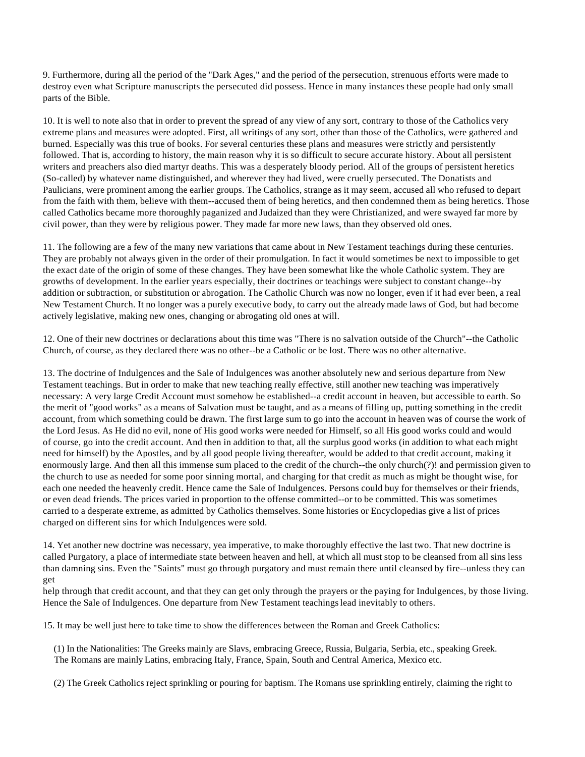9. Furthermore, during all the period of the "Dark Ages," and the period of the persecution, strenuous efforts were made to destroy even what Scripture manuscripts the persecuted did possess. Hence in many instances these people had only small parts of the Bible.

10. It is well to note also that in order to prevent the spread of any view of any sort, contrary to those of the Catholics very extreme plans and measures were adopted. First, all writings of any sort, other than those of the Catholics, were gathered and burned. Especially was this true of books. For several centuries these plans and measures were strictly and persistently followed. That is, according to history, the main reason why it is so difficult to secure accurate history. About all persistent writers and preachers also died martyr deaths. This was a desperately bloody period. All of the groups of persistent heretics (So-called) by whatever name distinguished, and wherever they had lived, were cruelly persecuted. The Donatists and Paulicians, were prominent among the earlier groups. The Catholics, strange as it may seem, accused all who refused to depart from the faith with them, believe with them--accused them of being heretics, and then condemned them as being heretics. Those called Catholics became more thoroughly paganized and Judaized than they were Christianized, and were swayed far more by civil power, than they were by religious power. They made far more new laws, than they observed old ones.

11. The following are a few of the many new variations that came about in New Testament teachings during these centuries. They are probably not always given in the order of their promulgation. In fact it would sometimes be next to impossible to get the exact date of the origin of some of these changes. They have been somewhat like the whole Catholic system. They are growths of development. In the earlier years especially, their doctrines or teachings were subject to constant change--by addition or subtraction, or substitution or abrogation. The Catholic Church was now no longer, even if it had ever been, a real New Testament Church. It no longer was a purely executive body, to carry out the already made laws of God, but had become actively legislative, making new ones, changing or abrogating old ones at will.

12. One of their new doctrines or declarations about this time was "There is no salvation outside of the Church"--the Catholic Church, of course, as they declared there was no other--be a Catholic or be lost. There was no other alternative.

13. The doctrine of Indulgences and the Sale of Indulgences was another absolutely new and serious departure from New Testament teachings. But in order to make that new teaching really effective, still another new teaching was imperatively necessary: A very large Credit Account must somehow be established--a credit account in heaven, but accessible to earth. So the merit of "good works" as a means of Salvation must be taught, and as a means of filling up, putting something in the credit account, from which something could be drawn. The first large sum to go into the account in heaven was of course the work of the Lord Jesus. As He did no evil, none of His good works were needed for Himself, so all His good works could and would of course, go into the credit account. And then in addition to that, all the surplus good works (in addition to what each might need for himself) by the Apostles, and by all good people living thereafter, would be added to that credit account, making it enormously large. And then all this immense sum placed to the credit of the church--the only church(?)! and permission given to the church to use as needed for some poor sinning mortal, and charging for that credit as much as might be thought wise, for each one needed the heavenly credit. Hence came the Sale of Indulgences. Persons could buy for themselves or their friends, or even dead friends. The prices varied in proportion to the offense committed--or to be committed. This was sometimes carried to a desperate extreme, as admitted by Catholics themselves. Some histories or Encyclopedias give a list of prices charged on different sins for which Indulgences were sold.

14. Yet another new doctrine was necessary, yea imperative, to make thoroughly effective the last two. That new doctrine is called Purgatory, a place of intermediate state between heaven and hell, at which all must stop to be cleansed from all sins less than damning sins. Even the "Saints" must go through purgatory and must remain there until cleansed by fire--unless they can get

help through that credit account, and that they can get only through the prayers or the paying for Indulgences, by those living. Hence the Sale of Indulgences. One departure from New Testament teachings lead inevitably to others.

15. It may be well just here to take time to show the differences between the Roman and Greek Catholics:

 (1) In the Nationalities: The Greeks mainly are Slavs, embracing Greece, Russia, Bulgaria, Serbia, etc., speaking Greek. The Romans are mainly Latins, embracing Italy, France, Spain, South and Central America, Mexico etc.

(2) The Greek Catholics reject sprinkling or pouring for baptism. The Romans use sprinkling entirely, claiming the right to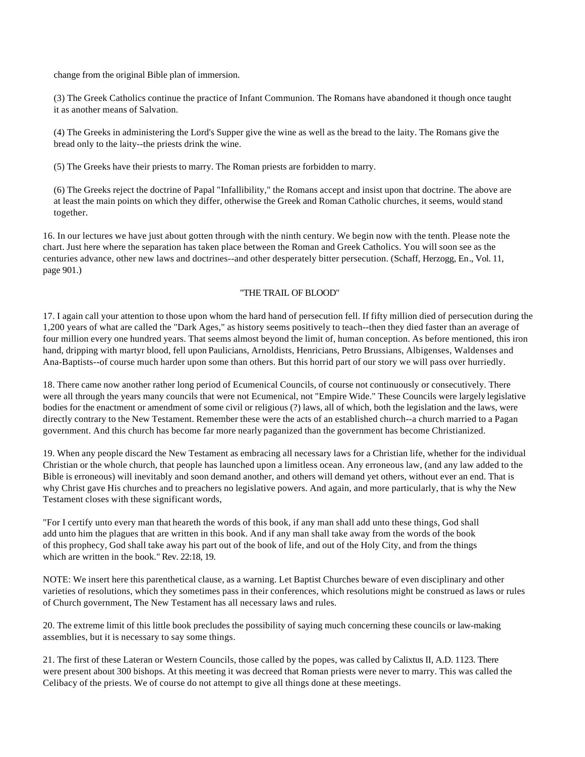change from the original Bible plan of immersion.

 (3) The Greek Catholics continue the practice of Infant Communion. The Romans have abandoned it though once taught it as another means of Salvation.

 (4) The Greeks in administering the Lord's Supper give the wine as well as the bread to the laity. The Romans give the bread only to the laity--the priests drink the wine.

(5) The Greeks have their priests to marry. The Roman priests are forbidden to marry.

 (6) The Greeks reject the doctrine of Papal "Infallibility," the Romans accept and insist upon that doctrine. The above are at least the main points on which they differ, otherwise the Greek and Roman Catholic churches, it seems, would stand together.

16. In our lectures we have just about gotten through with the ninth century. We begin now with the tenth. Please note the chart. Just here where the separation has taken place between the Roman and Greek Catholics. You will soon see as the centuries advance, other new laws and doctrines--and other desperately bitter persecution. (Schaff, Herzogg, En., Vol. 11, page 901.)

### "THE TRAIL OF BLOOD"

17. I again call your attention to those upon whom the hard hand of persecution fell. If fifty million died of persecution during the 1,200 years of what are called the "Dark Ages," as history seems positively to teach--then they died faster than an average of four million every one hundred years. That seems almost beyond the limit of, human conception. As before mentioned, this iron hand, dripping with martyr blood, fell upon Paulicians, Arnoldists, Henricians, Petro Brussians, Albigenses, Waldenses and Ana-Baptists--of course much harder upon some than others. But this horrid part of our story we will pass over hurriedly.

18. There came now another rather long period of Ecumenical Councils, of course not continuously or consecutively. There were all through the years many councils that were not Ecumenical, not "Empire Wide." These Councils were largely legislative bodies for the enactment or amendment of some civil or religious (?) laws, all of which, both the legislation and the laws, were directly contrary to the New Testament. Remember these were the acts of an established church--a church married to a Pagan government. And this church has become far more nearly paganized than the government has become Christianized.

19. When any people discard the New Testament as embracing all necessary laws for a Christian life, whether for the individual Christian or the whole church, that people has launched upon a limitless ocean. Any erroneous law, (and any law added to the Bible is erroneous) will inevitably and soon demand another, and others will demand yet others, without ever an end. That is why Christ gave His churches and to preachers no legislative powers. And again, and more particularly, that is why the New Testament closes with these significant words,

"For I certify unto every man that heareth the words of this book, if any man shall add unto these things, God shall add unto him the plagues that are written in this book. And if any man shall take away from the words of the book of this prophecy, God shall take away his part out of the book of life, and out of the Holy City, and from the things which are written in the book." Rev. 22:18, 19.

NOTE: We insert here this parenthetical clause, as a warning. Let Baptist Churches beware of even disciplinary and other varieties of resolutions, which they sometimes pass in their conferences, which resolutions might be construed as laws or rules of Church government, The New Testament has all necessary laws and rules.

20. The extreme limit of this little book precludes the possibility of saying much concerning these councils or law-making assemblies, but it is necessary to say some things.

21. The first of these Lateran or Western Councils, those called by the popes, was called by Calixtus II, A.D. 1123. There were present about 300 bishops. At this meeting it was decreed that Roman priests were never to marry. This was called the Celibacy of the priests. We of course do not attempt to give all things done at these meetings.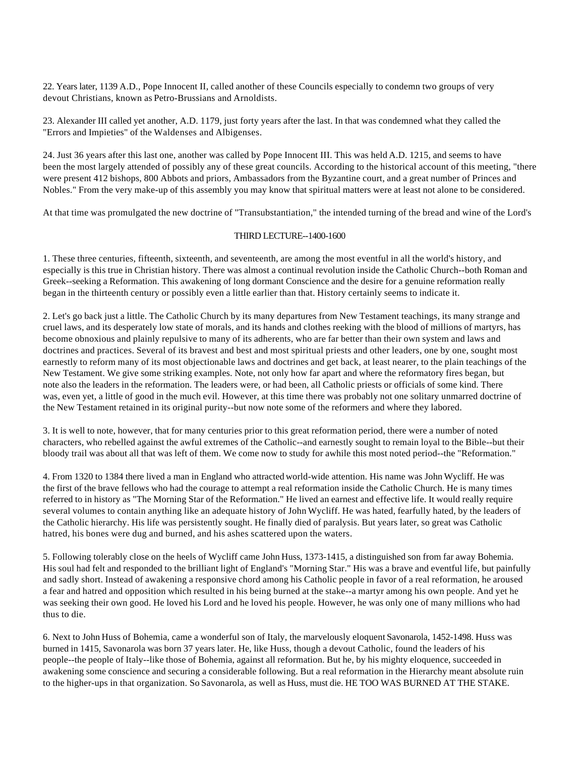22. Years later, 1139 A.D., Pope Innocent II, called another of these Councils especially to condemn two groups of very devout Christians, known as Petro-Brussians and Arnoldists.

23. Alexander III called yet another, A.D. 1179, just forty years after the last. In that was condemned what they called the "Errors and Impieties" of the Waldenses and Albigenses.

24. Just 36 years after this last one, another was called by Pope Innocent III. This was held A.D. 1215, and seems to have been the most largely attended of possibly any of these great councils. According to the historical account of this meeting, "there were present 412 bishops, 800 Abbots and priors, Ambassadors from the Byzantine court, and a great number of Princes and Nobles." From the very make-up of this assembly you may know that spiritual matters were at least not alone to be considered.

At that time was promulgated the new doctrine of "Transubstantiation," the intended turning of the bread and wine of the Lord's

#### THIRD LECTURE--1400-1600

1. These three centuries, fifteenth, sixteenth, and seventeenth, are among the most eventful in all the world's history, and especially is this true in Christian history. There was almost a continual revolution inside the Catholic Church--both Roman and Greek--seeking a Reformation. This awakening of long dormant Conscience and the desire for a genuine reformation really began in the thirteenth century or possibly even a little earlier than that. History certainly seems to indicate it.

2. Let's go back just a little. The Catholic Church by its many departures from New Testament teachings, its many strange and cruel laws, and its desperately low state of morals, and its hands and clothes reeking with the blood of millions of martyrs, has become obnoxious and plainly repulsive to many of its adherents, who are far better than their own system and laws and doctrines and practices. Several of its bravest and best and most spiritual priests and other leaders, one by one, sought most earnestly to reform many of its most objectionable laws and doctrines and get back, at least nearer, to the plain teachings of the New Testament. We give some striking examples. Note, not only how far apart and where the reformatory fires began, but note also the leaders in the reformation. The leaders were, or had been, all Catholic priests or officials of some kind. There was, even yet, a little of good in the much evil. However, at this time there was probably not one solitary unmarred doctrine of the New Testament retained in its original purity--but now note some of the reformers and where they labored.

3. It is well to note, however, that for many centuries prior to this great reformation period, there were a number of noted characters, who rebelled against the awful extremes of the Catholic--and earnestly sought to remain loyal to the Bible--but their bloody trail was about all that was left of them. We come now to study for awhile this most noted period--the "Reformation."

4. From 1320 to 1384 there lived a man in England who attracted world-wide attention. His name was John Wycliff. He was the first of the brave fellows who had the courage to attempt a real reformation inside the Catholic Church. He is many times referred to in history as "The Morning Star of the Reformation." He lived an earnest and effective life. It would really require several volumes to contain anything like an adequate history of John Wycliff. He was hated, fearfully hated, by the leaders of the Catholic hierarchy. His life was persistently sought. He finally died of paralysis. But years later, so great was Catholic hatred, his bones were dug and burned, and his ashes scattered upon the waters.

5. Following tolerably close on the heels of Wycliff came John Huss, 1373-1415, a distinguished son from far away Bohemia. His soul had felt and responded to the brilliant light of England's "Morning Star." His was a brave and eventful life, but painfully and sadly short. Instead of awakening a responsive chord among his Catholic people in favor of a real reformation, he aroused a fear and hatred and opposition which resulted in his being burned at the stake--a martyr among his own people. And yet he was seeking their own good. He loved his Lord and he loved his people. However, he was only one of many millions who had thus to die.

6. Next to John Huss of Bohemia, came a wonderful son of Italy, the marvelously eloquent Savonarola, 1452-1498. Huss was burned in 1415, Savonarola was born 37 years later. He, like Huss, though a devout Catholic, found the leaders of his people--the people of Italy--like those of Bohemia, against all reformation. But he, by his mighty eloquence, succeeded in awakening some conscience and securing a considerable following. But a real reformation in the Hierarchy meant absolute ruin to the higher-ups in that organization. So Savonarola, as well as Huss, must die. HE TOO WAS BURNED AT THE STAKE.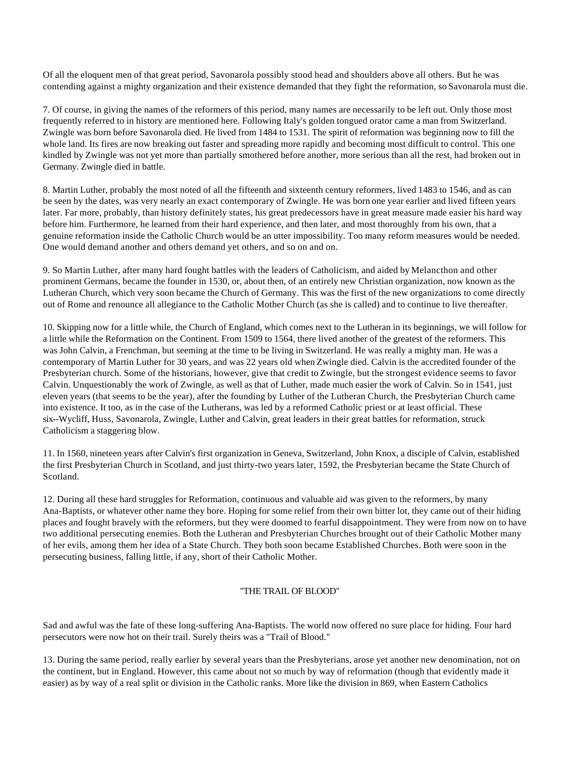Of all the eloquent men of that great period, Savonarola possibly stood head and shoulders above all others. But he was contending against a mighty organization and their existence demanded that they fight the reformation, so Savonarola must die.

7. Of course, in giving the names of the reformers of this period, many names are necessarily to be left out. Only those most frequently referred to in history are mentioned here. Following Italy's golden tongued orator came a man from Switzerland. Zwingle was born before Savonarola died. He lived from 1484 to 1531. The spirit of reformation was beginning now to fill the whole land. Its fires are now breaking out faster and spreading more rapidly and becoming most difficult to control. This one kindled by Zwingle was not yet more than partially smothered before another, more serious than all the rest, had broken out in Germany. Zwingle died in battle.

8. Martin Luther, probably the most noted of all the fifteenth and sixteenth century reformers, lived 1483 to 1546, and as can be seen by the dates, was very nearly an exact contemporary of Zwingle. He was born one year earlier and lived fifteen years later. Far more, probably, than history definitely states, his great predecessors have in great measure made easier his hard way before him. Furthermore, he learned from their hard experience, and then later, and most thoroughly from his own, that a genuine reformation inside the Catholic Church would be an utter impossibility. Too many reform measures would be needed. One would demand another and others demand yet others, and so on and on.

9. So Martin Luther, after many hard fought battles with the leaders of Catholicism, and aided by Melancthon and other prominent Germans, became the founder in 1530, or, about then, of an entirely new Christian organization, now known as the Lutheran Church, which very soon became the Church of Germany. This was the first of the new organizations to come directly out of Rome and renounce all allegiance to the Catholic Mother Church (as she is called) and to continue to live thereafter.

10. Skipping now for a little while, the Church of England, which comes next to the Lutheran in its beginnings, we will follow for a little while the Reformation on the Continent. From 1509 to 1564, there lived another of the greatest of the reformers. This was John Calvin, a Frenchman, but seeming at the time to be living in Switzerland. He was really a mighty man. He was a contemporary of Martin Luther for 30 years, and was 22 years old when Zwingle died. Calvin is the accredited founder of the Presbyterian church. Some of the historians, however, give that credit to Zwingle, but the strongest evidence seems to favor Calvin. Unquestionably the work of Zwingle, as well as that of Luther, made much easier the work of Calvin. So in 1541, just eleven years (that seems to be the year), after the founding by Luther of the Lutheran Church, the Presbyterian Church came into existence. It too, as in the case of the Lutherans, was led by a reformed Catholic priest or at least official. These six--Wycliff, Huss, Savonarola, Zwingle, Luther and Calvin, great leaders in their great battles for reformation, struck Catholicism a staggering blow.

11. In 1560, nineteen years after Calvin's first organization in Geneva, Switzerland, John Knox, a disciple of Calvin, established the first Presbyterian Church in Scotland, and just thirty-two years later, 1592, the Presbyterian became the State Church of Scotland.

12. During all these hard struggles for Reformation, continuous and valuable aid was given to the reformers, by many Ana-Baptists, or whatever other name they bore. Hoping for some relief from their own bitter lot, they came out of their hiding places and fought bravely with the reformers, but they were doomed to fearful disappointment. They were from now on to have two additional persecuting enemies. Both the Lutheran and Presbyterian Churches brought out of their Catholic Mother many of her evils, among them her idea of a State Church. They both soon became Established Churches. Both were soon in the persecuting business, falling little, if any, short of their Catholic Mother.

## "THE TRAIL OF BLOOD"

Sad and awful was the fate of these long-suffering Ana-Baptists. The world now offered no sure place for hiding. Four hard persecutors were now hot on their trail. Surely theirs was a "Trail of Blood."

13. During the same period, really earlier by several years than the Presbyterians, arose yet another new denomination, not on the continent, but in England. However, this came about not so much by way of reformation (though that evidently made it easier) as by way of a real split or division in the Catholic ranks. More like the division in 869, when Eastern Catholics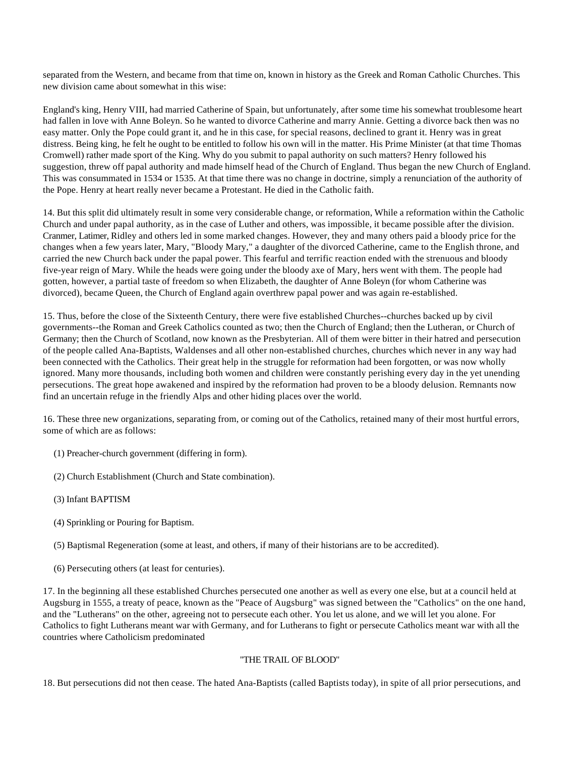separated from the Western, and became from that time on, known in history as the Greek and Roman Catholic Churches. This new division came about somewhat in this wise:

England's king, Henry VIII, had married Catherine of Spain, but unfortunately, after some time his somewhat troublesome heart had fallen in love with Anne Boleyn. So he wanted to divorce Catherine and marry Annie. Getting a divorce back then was no easy matter. Only the Pope could grant it, and he in this case, for special reasons, declined to grant it. Henry was in great distress. Being king, he felt he ought to be entitled to follow his own will in the matter. His Prime Minister (at that time Thomas Cromwell) rather made sport of the King. Why do you submit to papal authority on such matters? Henry followed his suggestion, threw off papal authority and made himself head of the Church of England. Thus began the new Church of England. This was consummated in 1534 or 1535. At that time there was no change in doctrine, simply a renunciation of the authority of the Pope. Henry at heart really never became a Protestant. He died in the Catholic faith.

14. But this split did ultimately result in some very considerable change, or reformation, While a reformation within the Catholic Church and under papal authority, as in the case of Luther and others, was impossible, it became possible after the division. Cranmer, Latimer, Ridley and others led in some marked changes. However, they and many others paid a bloody price for the changes when a few years later, Mary, "Bloody Mary," a daughter of the divorced Catherine, came to the English throne, and carried the new Church back under the papal power. This fearful and terrific reaction ended with the strenuous and bloody five-year reign of Mary. While the heads were going under the bloody axe of Mary, hers went with them. The people had gotten, however, a partial taste of freedom so when Elizabeth, the daughter of Anne Boleyn (for whom Catherine was divorced), became Queen, the Church of England again overthrew papal power and was again re-established.

15. Thus, before the close of the Sixteenth Century, there were five established Churches--churches backed up by civil governments--the Roman and Greek Catholics counted as two; then the Church of England; then the Lutheran, or Church of Germany; then the Church of Scotland, now known as the Presbyterian. All of them were bitter in their hatred and persecution of the people called Ana-Baptists, Waldenses and all other non-established churches, churches which never in any way had been connected with the Catholics. Their great help in the struggle for reformation had been forgotten, or was now wholly ignored. Many more thousands, including both women and children were constantly perishing every day in the yet unending persecutions. The great hope awakened and inspired by the reformation had proven to be a bloody delusion. Remnants now find an uncertain refuge in the friendly Alps and other hiding places over the world.

16. These three new organizations, separating from, or coming out of the Catholics, retained many of their most hurtful errors, some of which are as follows:

- (1) Preacher-church government (differing in form).
- (2) Church Establishment (Church and State combination).
- (3) Infant BAPTISM
- (4) Sprinkling or Pouring for Baptism.
- (5) Baptismal Regeneration (some at least, and others, if many of their historians are to be accredited).
- (6) Persecuting others (at least for centuries).

17. In the beginning all these established Churches persecuted one another as well as every one else, but at a council held at Augsburg in 1555, a treaty of peace, known as the "Peace of Augsburg" was signed between the "Catholics" on the one hand, and the "Lutherans" on the other, agreeing not to persecute each other. You let us alone, and we will let you alone. For Catholics to fight Lutherans meant war with Germany, and for Lutherans to fight or persecute Catholics meant war with all the countries where Catholicism predominated

## "THE TRAIL OF BLOOD"

18. But persecutions did not then cease. The hated Ana-Baptists (called Baptists today), in spite of all prior persecutions, and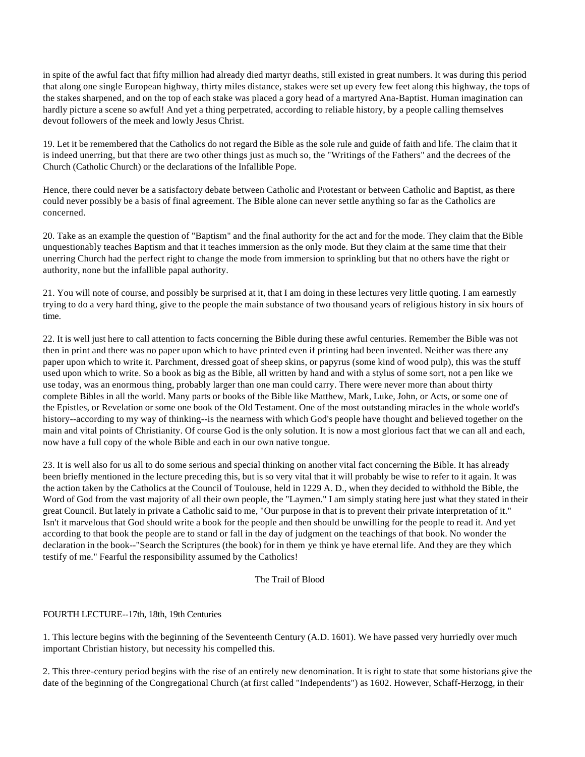in spite of the awful fact that fifty million had already died martyr deaths, still existed in great numbers. It was during this period that along one single European highway, thirty miles distance, stakes were set up every few feet along this highway, the tops of the stakes sharpened, and on the top of each stake was placed a gory head of a martyred Ana-Baptist. Human imagination can hardly picture a scene so awful! And yet a thing perpetrated, according to reliable history, by a people calling themselves devout followers of the meek and lowly Jesus Christ.

19. Let it be remembered that the Catholics do not regard the Bible as the sole rule and guide of faith and life. The claim that it is indeed unerring, but that there are two other things just as much so, the "Writings of the Fathers" and the decrees of the Church (Catholic Church) or the declarations of the Infallible Pope.

Hence, there could never be a satisfactory debate between Catholic and Protestant or between Catholic and Baptist, as there could never possibly be a basis of final agreement. The Bible alone can never settle anything so far as the Catholics are concerned.

20. Take as an example the question of "Baptism" and the final authority for the act and for the mode. They claim that the Bible unquestionably teaches Baptism and that it teaches immersion as the only mode. But they claim at the same time that their unerring Church had the perfect right to change the mode from immersion to sprinkling but that no others have the right or authority, none but the infallible papal authority.

21. You will note of course, and possibly be surprised at it, that I am doing in these lectures very little quoting. I am earnestly trying to do a very hard thing, give to the people the main substance of two thousand years of religious history in six hours of time.

22. It is well just here to call attention to facts concerning the Bible during these awful centuries. Remember the Bible was not then in print and there was no paper upon which to have printed even if printing had been invented. Neither was there any paper upon which to write it. Parchment, dressed goat of sheep skins, or papyrus (some kind of wood pulp), this was the stuff used upon which to write. So a book as big as the Bible, all written by hand and with a stylus of some sort, not a pen like we use today, was an enormous thing, probably larger than one man could carry. There were never more than about thirty complete Bibles in all the world. Many parts or books of the Bible like Matthew, Mark, Luke, John, or Acts, or some one of the Epistles, or Revelation or some one book of the Old Testament. One of the most outstanding miracles in the whole world's history--according to my way of thinking--is the nearness with which God's people have thought and believed together on the main and vital points of Christianity. Of course God is the only solution. It is now a most glorious fact that we can all and each, now have a full copy of the whole Bible and each in our own native tongue.

23. It is well also for us all to do some serious and special thinking on another vital fact concerning the Bible. It has already been briefly mentioned in the lecture preceding this, but is so very vital that it will probably be wise to refer to it again. It was the action taken by the Catholics at the Council of Toulouse, held in 1229 A. D., when they decided to withhold the Bible, the Word of God from the vast majority of all their own people, the "Laymen." I am simply stating here just what they stated in their great Council. But lately in private a Catholic said to me, "Our purpose in that is to prevent their private interpretation of it." Isn't it marvelous that God should write a book for the people and then should be unwilling for the people to read it. And yet according to that book the people are to stand or fall in the day of judgment on the teachings of that book. No wonder the declaration in the book--"Search the Scriptures (the book) for in them ye think ye have eternal life. And they are they which testify of me." Fearful the responsibility assumed by the Catholics!

## The Trail of Blood

## FOURTH LECTURE--17th, 18th, 19th Centuries

1. This lecture begins with the beginning of the Seventeenth Century (A.D. 1601). We have passed very hurriedly over much important Christian history, but necessity his compelled this.

2. This three-century period begins with the rise of an entirely new denomination. It is right to state that some historians give the date of the beginning of the Congregational Church (at first called "Independents") as 1602. However, Schaff-Herzogg, in their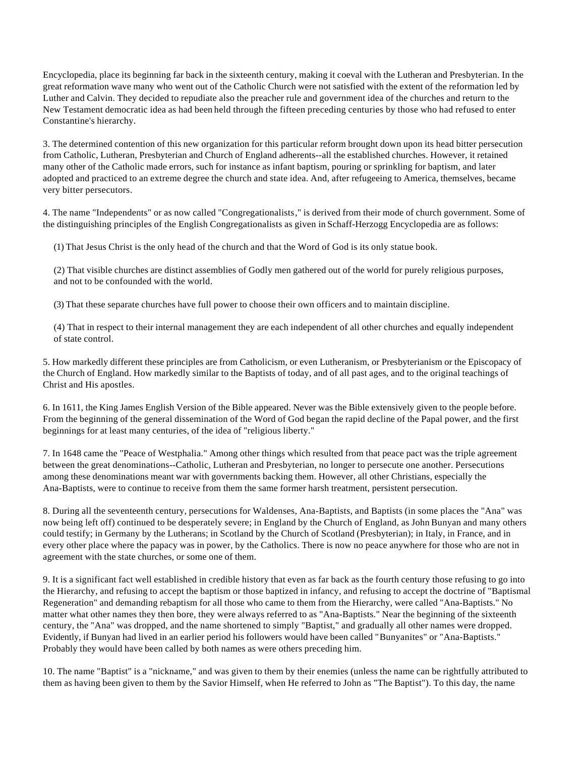Encyclopedia, place its beginning far back in the sixteenth century, making it coeval with the Lutheran and Presbyterian. In the great reformation wave many who went out of the Catholic Church were not satisfied with the extent of the reformation led by Luther and Calvin. They decided to repudiate also the preacher rule and government idea of the churches and return to the New Testament democratic idea as had been held through the fifteen preceding centuries by those who had refused to enter Constantine's hierarchy.

3. The determined contention of this new organization for this particular reform brought down upon its head bitter persecution from Catholic, Lutheran, Presbyterian and Church of England adherents--all the established churches. However, it retained many other of the Catholic made errors, such for instance as infant baptism, pouring or sprinkling for baptism, and later adopted and practiced to an extreme degree the church and state idea. And, after refugeeing to America, themselves, became very bitter persecutors.

4. The name "Independents" or as now called "Congregationalists," is derived from their mode of church government. Some of the distinguishing principles of the English Congregationalists as given in Schaff-Herzogg Encyclopedia are as follows:

(1) That Jesus Christ is the only head of the church and that the Word of God is its only statue book.

 (2) That visible churches are distinct assemblies of Godly men gathered out of the world for purely religious purposes, and not to be confounded with the world.

(3) That these separate churches have full power to choose their own officers and to maintain discipline.

 (4) That in respect to their internal management they are each independent of all other churches and equally independent of state control.

5. How markedly different these principles are from Catholicism, or even Lutheranism, or Presbyterianism or the Episcopacy of the Church of England. How markedly similar to the Baptists of today, and of all past ages, and to the original teachings of Christ and His apostles.

6. In 1611, the King James English Version of the Bible appeared. Never was the Bible extensively given to the people before. From the beginning of the general dissemination of the Word of God began the rapid decline of the Papal power, and the first beginnings for at least many centuries, of the idea of "religious liberty."

7. In 1648 came the "Peace of Westphalia." Among other things which resulted from that peace pact was the triple agreement between the great denominations--Catholic, Lutheran and Presbyterian, no longer to persecute one another. Persecutions among these denominations meant war with governments backing them. However, all other Christians, especially the Ana-Baptists, were to continue to receive from them the same former harsh treatment, persistent persecution.

8. During all the seventeenth century, persecutions for Waldenses, Ana-Baptists, and Baptists (in some places the "Ana" was now being left off) continued to be desperately severe; in England by the Church of England, as John Bunyan and many others could testify; in Germany by the Lutherans; in Scotland by the Church of Scotland (Presbyterian); in Italy, in France, and in every other place where the papacy was in power, by the Catholics. There is now no peace anywhere for those who are not in agreement with the state churches, or some one of them.

9. It is a significant fact well established in credible history that even as far back as the fourth century those refusing to go into the Hierarchy, and refusing to accept the baptism or those baptized in infancy, and refusing to accept the doctrine of "Baptismal Regeneration" and demanding rebaptism for all those who came to them from the Hierarchy, were called "Ana-Baptists." No matter what other names they then bore, they were always referred to as "Ana-Baptists." Near the beginning of the sixteenth century, the "Ana" was dropped, and the name shortened to simply "Baptist," and gradually all other names were dropped. Evidently, if Bunyan had lived in an earlier period his followers would have been called "Bunyanites" or "Ana-Baptists." Probably they would have been called by both names as were others preceding him.

10. The name "Baptist" is a "nickname," and was given to them by their enemies (unless the name can be rightfully attributed to them as having been given to them by the Savior Himself, when He referred to John as "The Baptist"). To this day, the name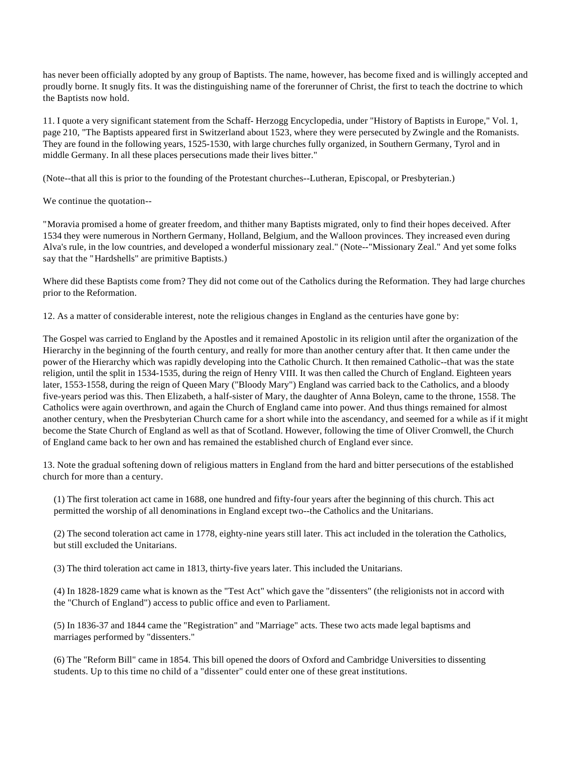has never been officially adopted by any group of Baptists. The name, however, has become fixed and is willingly accepted and proudly borne. It snugly fits. It was the distinguishing name of the forerunner of Christ, the first to teach the doctrine to which the Baptists now hold.

11. I quote a very significant statement from the Schaff- Herzogg Encyclopedia, under "History of Baptists in Europe," Vol. 1, page 210, "The Baptists appeared first in Switzerland about 1523, where they were persecuted by Zwingle and the Romanists. They are found in the following years, 1525-1530, with large churches fully organized, in Southern Germany, Tyrol and in middle Germany. In all these places persecutions made their lives bitter."

(Note--that all this is prior to the founding of the Protestant churches--Lutheran, Episcopal, or Presbyterian.)

We continue the quotation--

"Moravia promised a home of greater freedom, and thither many Baptists migrated, only to find their hopes deceived. After 1534 they were numerous in Northern Germany, Holland, Belgium, and the Walloon provinces. They increased even during Alva's rule, in the low countries, and developed a wonderful missionary zeal." (Note--"Missionary Zeal." And yet some folks say that the "Hardshells" are primitive Baptists.)

Where did these Baptists come from? They did not come out of the Catholics during the Reformation. They had large churches prior to the Reformation.

12. As a matter of considerable interest, note the religious changes in England as the centuries have gone by:

The Gospel was carried to England by the Apostles and it remained Apostolic in its religion until after the organization of the Hierarchy in the beginning of the fourth century, and really for more than another century after that. It then came under the power of the Hierarchy which was rapidly developing into the Catholic Church. It then remained Catholic--that was the state religion, until the split in 1534-1535, during the reign of Henry VIII. It was then called the Church of England. Eighteen years later, 1553-1558, during the reign of Queen Mary ("Bloody Mary") England was carried back to the Catholics, and a bloody five-years period was this. Then Elizabeth, a half-sister of Mary, the daughter of Anna Boleyn, came to the throne, 1558. The Catholics were again overthrown, and again the Church of England came into power. And thus things remained for almost another century, when the Presbyterian Church came for a short while into the ascendancy, and seemed for a while as if it might become the State Church of England as well as that of Scotland. However, following the time of Oliver Cromwell, the Church of England came back to her own and has remained the established church of England ever since.

13. Note the gradual softening down of religious matters in England from the hard and bitter persecutions of the established church for more than a century.

 (1) The first toleration act came in 1688, one hundred and fifty-four years after the beginning of this church. This act permitted the worship of all denominations in England except two--the Catholics and the Unitarians.

 (2) The second toleration act came in 1778, eighty-nine years still later. This act included in the toleration the Catholics, but still excluded the Unitarians.

(3) The third toleration act came in 1813, thirty-five years later. This included the Unitarians.

 (4) In 1828-1829 came what is known as the "Test Act" which gave the "dissenters" (the religionists not in accord with the "Church of England") access to public office and even to Parliament.

 (5) In 1836-37 and 1844 came the "Registration" and "Marriage" acts. These two acts made legal baptisms and marriages performed by "dissenters."

 (6) The "Reform Bill" came in 1854. This bill opened the doors of Oxford and Cambridge Universities to dissenting students. Up to this time no child of a "dissenter" could enter one of these great institutions.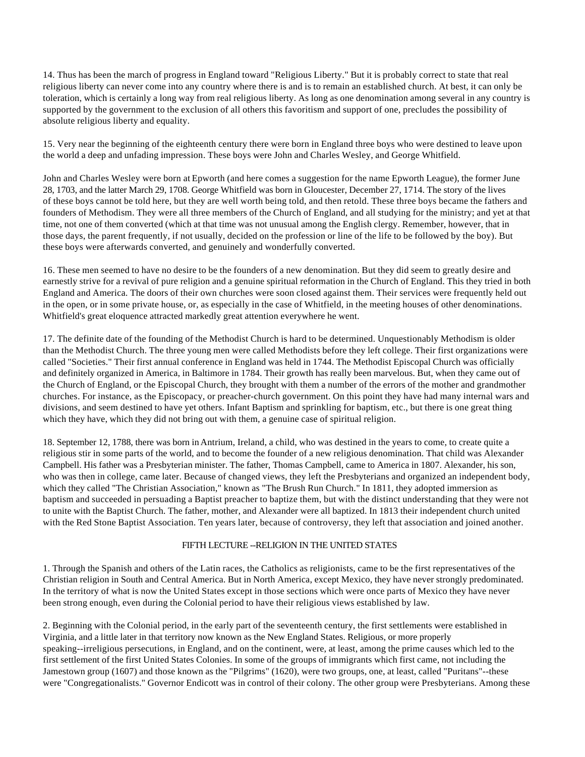14. Thus has been the march of progress in England toward "Religious Liberty." But it is probably correct to state that real religious liberty can never come into any country where there is and is to remain an established church. At best, it can only be toleration, which is certainly a long way from real religious liberty. As long as one denomination among several in any country is supported by the government to the exclusion of all others this favoritism and support of one, precludes the possibility of absolute religious liberty and equality.

15. Very near the beginning of the eighteenth century there were born in England three boys who were destined to leave upon the world a deep and unfading impression. These boys were John and Charles Wesley, and George Whitfield.

John and Charles Wesley were born at Epworth (and here comes a suggestion for the name Epworth League), the former June 28, 1703, and the latter March 29, 1708. George Whitfield was born in Gloucester, December 27, 1714. The story of the lives of these boys cannot be told here, but they are well worth being told, and then retold. These three boys became the fathers and founders of Methodism. They were all three members of the Church of England, and all studying for the ministry; and yet at that time, not one of them converted (which at that time was not unusual among the English clergy. Remember, however, that in those days, the parent frequently, if not usually, decided on the profession or line of the life to be followed by the boy). But these boys were afterwards converted, and genuinely and wonderfully converted.

16. These men seemed to have no desire to be the founders of a new denomination. But they did seem to greatly desire and earnestly strive for a revival of pure religion and a genuine spiritual reformation in the Church of England. This they tried in both England and America. The doors of their own churches were soon closed against them. Their services were frequently held out in the open, or in some private house, or, as especially in the case of Whitfield, in the meeting houses of other denominations. Whitfield's great eloquence attracted markedly great attention everywhere he went.

17. The definite date of the founding of the Methodist Church is hard to be determined. Unquestionably Methodism is older than the Methodist Church. The three young men were called Methodists before they left college. Their first organizations were called "Societies." Their first annual conference in England was held in 1744. The Methodist Episcopal Church was officially and definitely organized in America, in Baltimore in 1784. Their growth has really been marvelous. But, when they came out of the Church of England, or the Episcopal Church, they brought with them a number of the errors of the mother and grandmother churches. For instance, as the Episcopacy, or preacher-church government. On this point they have had many internal wars and divisions, and seem destined to have yet others. Infant Baptism and sprinkling for baptism, etc., but there is one great thing which they have, which they did not bring out with them, a genuine case of spiritual religion.

18. September 12, 1788, there was born in Antrium, Ireland, a child, who was destined in the years to come, to create quite a religious stir in some parts of the world, and to become the founder of a new religious denomination. That child was Alexander Campbell. His father was a Presbyterian minister. The father, Thomas Campbell, came to America in 1807. Alexander, his son, who was then in college, came later. Because of changed views, they left the Presbyterians and organized an independent body, which they called "The Christian Association," known as "The Brush Run Church." In 1811, they adopted immersion as baptism and succeeded in persuading a Baptist preacher to baptize them, but with the distinct understanding that they were not to unite with the Baptist Church. The father, mother, and Alexander were all baptized. In 1813 their independent church united with the Red Stone Baptist Association. Ten years later, because of controversy, they left that association and joined another.

## FIFTH LECTURE --RELIGION IN THE UNITED STATES

1. Through the Spanish and others of the Latin races, the Catholics as religionists, came to be the first representatives of the Christian religion in South and Central America. But in North America, except Mexico, they have never strongly predominated. In the territory of what is now the United States except in those sections which were once parts of Mexico they have never been strong enough, even during the Colonial period to have their religious views established by law.

2. Beginning with the Colonial period, in the early part of the seventeenth century, the first settlements were established in Virginia, and a little later in that territory now known as the New England States. Religious, or more properly speaking--irreligious persecutions, in England, and on the continent, were, at least, among the prime causes which led to the first settlement of the first United States Colonies. In some of the groups of immigrants which first came, not including the Jamestown group (1607) and those known as the "Pilgrims" (1620), were two groups, one, at least, called "Puritans"--these were "Congregationalists." Governor Endicott was in control of their colony. The other group were Presbyterians. Among these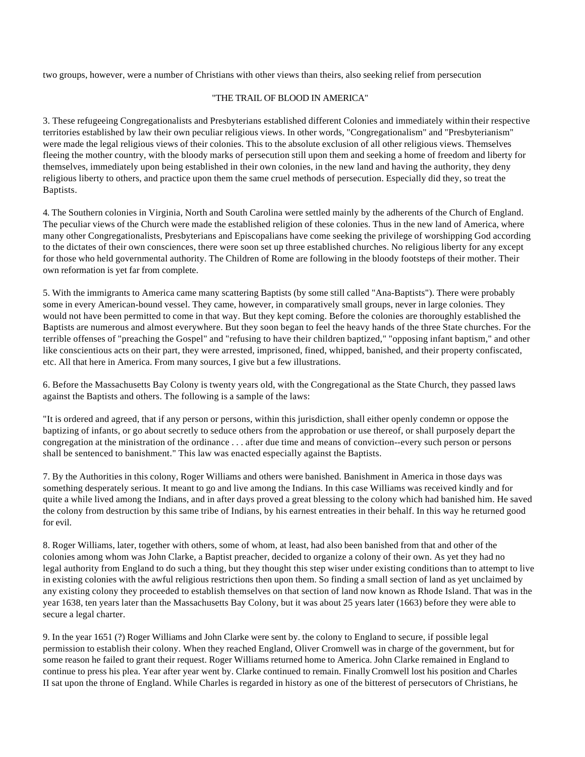two groups, however, were a number of Christians with other views than theirs, also seeking relief from persecution

## "THE TRAIL OF BLOOD IN AMERICA"

3. These refugeeing Congregationalists and Presbyterians established different Colonies and immediately within their respective territories established by law their own peculiar religious views. In other words, "Congregationalism" and "Presbyterianism" were made the legal religious views of their colonies. This to the absolute exclusion of all other religious views. Themselves fleeing the mother country, with the bloody marks of persecution still upon them and seeking a home of freedom and liberty for themselves, immediately upon being established in their own colonies, in the new land and having the authority, they deny religious liberty to others, and practice upon them the same cruel methods of persecution. Especially did they, so treat the Baptists.

4. The Southern colonies in Virginia, North and South Carolina were settled mainly by the adherents of the Church of England. The peculiar views of the Church were made the established religion of these colonies. Thus in the new land of America, where many other Congregationalists, Presbyterians and Episcopalians have come seeking the privilege of worshipping God according to the dictates of their own consciences, there were soon set up three established churches. No religious liberty for any except for those who held governmental authority. The Children of Rome are following in the bloody footsteps of their mother. Their own reformation is yet far from complete.

5. With the immigrants to America came many scattering Baptists (by some still called "Ana-Baptists"). There were probably some in every American-bound vessel. They came, however, in comparatively small groups, never in large colonies. They would not have been permitted to come in that way. But they kept coming. Before the colonies are thoroughly established the Baptists are numerous and almost everywhere. But they soon began to feel the heavy hands of the three State churches. For the terrible offenses of "preaching the Gospel" and "refusing to have their children baptized," "opposing infant baptism," and other like conscientious acts on their part, they were arrested, imprisoned, fined, whipped, banished, and their property confiscated, etc. All that here in America. From many sources, I give but a few illustrations.

6. Before the Massachusetts Bay Colony is twenty years old, with the Congregational as the State Church, they passed laws against the Baptists and others. The following is a sample of the laws:

"It is ordered and agreed, that if any person or persons, within this jurisdiction, shall either openly condemn or oppose the baptizing of infants, or go about secretly to seduce others from the approbation or use thereof, or shall purposely depart the congregation at the ministration of the ordinance . . . after due time and means of conviction--every such person or persons shall be sentenced to banishment." This law was enacted especially against the Baptists.

7. By the Authorities in this colony, Roger Williams and others were banished. Banishment in America in those days was something desperately serious. It meant to go and live among the Indians. In this case Williams was received kindly and for quite a while lived among the Indians, and in after days proved a great blessing to the colony which had banished him. He saved the colony from destruction by this same tribe of Indians, by his earnest entreaties in their behalf. In this way he returned good for evil.

8. Roger Williams, later, together with others, some of whom, at least, had also been banished from that and other of the colonies among whom was John Clarke, a Baptist preacher, decided to organize a colony of their own. As yet they had no legal authority from England to do such a thing, but they thought this step wiser under existing conditions than to attempt to live in existing colonies with the awful religious restrictions then upon them. So finding a small section of land as yet unclaimed by any existing colony they proceeded to establish themselves on that section of land now known as Rhode Island. That was in the year 1638, ten years later than the Massachusetts Bay Colony, but it was about 25 years later (1663) before they were able to secure a legal charter.

9. In the year 1651 (?) Roger Williams and John Clarke were sent by. the colony to England to secure, if possible legal permission to establish their colony. When they reached England, Oliver Cromwell was in charge of the government, but for some reason he failed to grant their request. Roger Williams returned home to America. John Clarke remained in England to continue to press his plea. Year after year went by. Clarke continued to remain. Finally Cromwell lost his position and Charles II sat upon the throne of England. While Charles is regarded in history as one of the bitterest of persecutors of Christians, he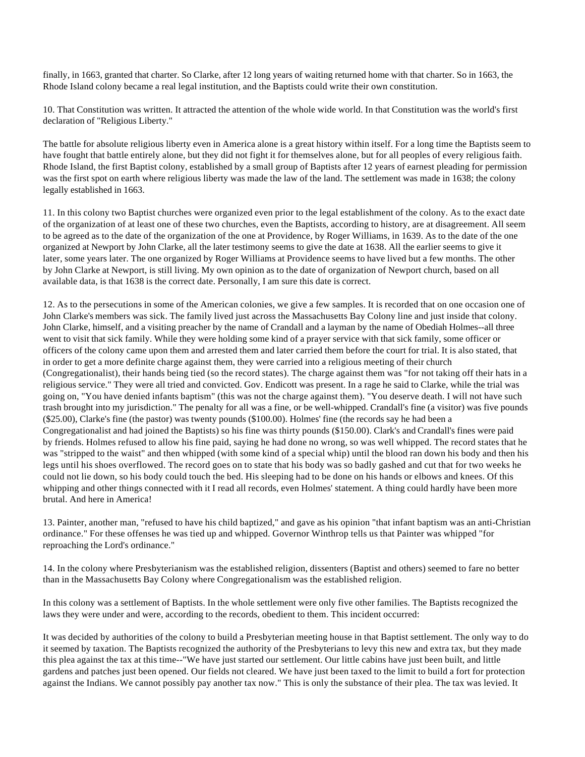finally, in 1663, granted that charter. So Clarke, after 12 long years of waiting returned home with that charter. So in 1663, the Rhode Island colony became a real legal institution, and the Baptists could write their own constitution.

10. That Constitution was written. It attracted the attention of the whole wide world. In that Constitution was the world's first declaration of "Religious Liberty."

The battle for absolute religious liberty even in America alone is a great history within itself. For a long time the Baptists seem to have fought that battle entirely alone, but they did not fight it for themselves alone, but for all peoples of every religious faith. Rhode Island, the first Baptist colony, established by a small group of Baptists after 12 years of earnest pleading for permission was the first spot on earth where religious liberty was made the law of the land. The settlement was made in 1638; the colony legally established in 1663.

11. In this colony two Baptist churches were organized even prior to the legal establishment of the colony. As to the exact date of the organization of at least one of these two churches, even the Baptists, according to history, are at disagreement. All seem to be agreed as to the date of the organization of the one at Providence, by Roger Williams, in 1639. As to the date of the one organized at Newport by John Clarke, all the later testimony seems to give the date at 1638. All the earlier seems to give it later, some years later. The one organized by Roger Williams at Providence seems to have lived but a few months. The other by John Clarke at Newport, is still living. My own opinion as to the date of organization of Newport church, based on all available data, is that 1638 is the correct date. Personally, I am sure this date is correct.

12. As to the persecutions in some of the American colonies, we give a few samples. It is recorded that on one occasion one of John Clarke's members was sick. The family lived just across the Massachusetts Bay Colony line and just inside that colony. John Clarke, himself, and a visiting preacher by the name of Crandall and a layman by the name of Obediah Holmes--all three went to visit that sick family. While they were holding some kind of a prayer service with that sick family, some officer or officers of the colony came upon them and arrested them and later carried them before the court for trial. It is also stated, that in order to get a more definite charge against them, they were carried into a religious meeting of their church (Congregationalist), their hands being tied (so the record states). The charge against them was "for not taking off their hats in a religious service." They were all tried and convicted. Gov. Endicott was present. In a rage he said to Clarke, while the trial was going on, "You have denied infants baptism" (this was not the charge against them). "You deserve death. I will not have such trash brought into my jurisdiction." The penalty for all was a fine, or be well-whipped. Crandall's fine (a visitor) was five pounds (\$25.00), Clarke's fine (the pastor) was twenty pounds (\$100.00). Holmes' fine (the records say he had been a Congregationalist and had joined the Baptists) so his fine was thirty pounds (\$150.00). Clark's and Crandall's fines were paid by friends. Holmes refused to allow his fine paid, saying he had done no wrong, so was well whipped. The record states that he was "stripped to the waist" and then whipped (with some kind of a special whip) until the blood ran down his body and then his legs until his shoes overflowed. The record goes on to state that his body was so badly gashed and cut that for two weeks he could not lie down, so his body could touch the bed. His sleeping had to be done on his hands or elbows and knees. Of this whipping and other things connected with it I read all records, even Holmes' statement. A thing could hardly have been more brutal. And here in America!

13. Painter, another man, "refused to have his child baptized," and gave as his opinion "that infant baptism was an anti-Christian ordinance." For these offenses he was tied up and whipped. Governor Winthrop tells us that Painter was whipped "for reproaching the Lord's ordinance."

14. In the colony where Presbyterianism was the established religion, dissenters (Baptist and others) seemed to fare no better than in the Massachusetts Bay Colony where Congregationalism was the established religion.

In this colony was a settlement of Baptists. In the whole settlement were only five other families. The Baptists recognized the laws they were under and were, according to the records, obedient to them. This incident occurred:

It was decided by authorities of the colony to build a Presbyterian meeting house in that Baptist settlement. The only way to do it seemed by taxation. The Baptists recognized the authority of the Presbyterians to levy this new and extra tax, but they made this plea against the tax at this time--"We have just started our settlement. Our little cabins have just been built, and little gardens and patches just been opened. Our fields not cleared. We have just been taxed to the limit to build a fort for protection against the Indians. We cannot possibly pay another tax now." This is only the substance of their plea. The tax was levied. It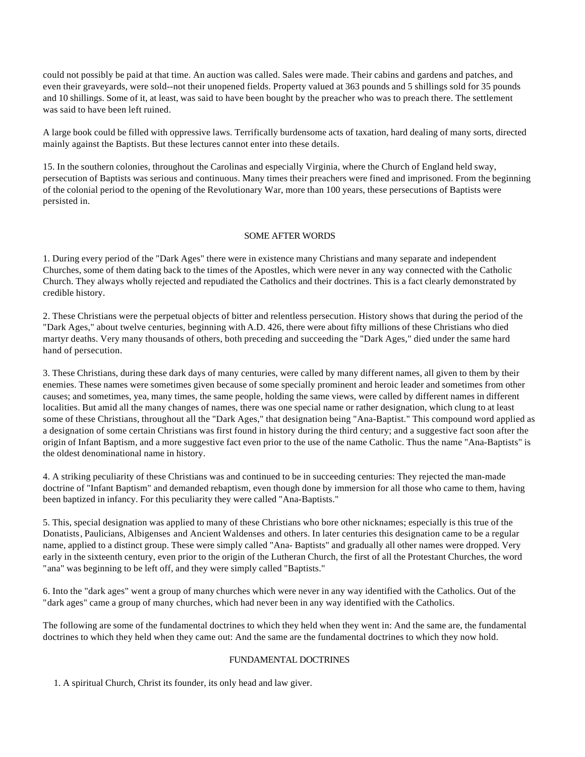could not possibly be paid at that time. An auction was called. Sales were made. Their cabins and gardens and patches, and even their graveyards, were sold--not their unopened fields. Property valued at 363 pounds and 5 shillings sold for 35 pounds and 10 shillings. Some of it, at least, was said to have been bought by the preacher who was to preach there. The settlement was said to have been left ruined.

A large book could be filled with oppressive laws. Terrifically burdensome acts of taxation, hard dealing of many sorts, directed mainly against the Baptists. But these lectures cannot enter into these details.

15. In the southern colonies, throughout the Carolinas and especially Virginia, where the Church of England held sway, persecution of Baptists was serious and continuous. Many times their preachers were fined and imprisoned. From the beginning of the colonial period to the opening of the Revolutionary War, more than 100 years, these persecutions of Baptists were persisted in.

### SOME AFTER WORDS

1. During every period of the "Dark Ages" there were in existence many Christians and many separate and independent Churches, some of them dating back to the times of the Apostles, which were never in any way connected with the Catholic Church. They always wholly rejected and repudiated the Catholics and their doctrines. This is a fact clearly demonstrated by credible history.

2. These Christians were the perpetual objects of bitter and relentless persecution. History shows that during the period of the "Dark Ages," about twelve centuries, beginning with A.D. 426, there were about fifty millions of these Christians who died martyr deaths. Very many thousands of others, both preceding and succeeding the "Dark Ages," died under the same hard hand of persecution.

3. These Christians, during these dark days of many centuries, were called by many different names, all given to them by their enemies. These names were sometimes given because of some specially prominent and heroic leader and sometimes from other causes; and sometimes, yea, many times, the same people, holding the same views, were called by different names in different localities. But amid all the many changes of names, there was one special name or rather designation, which clung to at least some of these Christians, throughout all the "Dark Ages," that designation being "Ana-Baptist." This compound word applied as a designation of some certain Christians was first found in history during the third century; and a suggestive fact soon after the origin of Infant Baptism, and a more suggestive fact even prior to the use of the name Catholic. Thus the name "Ana-Baptists" is the oldest denominational name in history.

4. A striking peculiarity of these Christians was and continued to be in succeeding centuries: They rejected the man-made doctrine of "Infant Baptism" and demanded rebaptism, even though done by immersion for all those who came to them, having been baptized in infancy. For this peculiarity they were called "Ana-Baptists."

5. This, special designation was applied to many of these Christians who bore other nicknames; especially is this true of the Donatists, Paulicians, Albigenses and Ancient Waldenses and others. In later centuries this designation came to be a regular name, applied to a distinct group. These were simply called "Ana- Baptists" and gradually all other names were dropped. Very early in the sixteenth century, even prior to the origin of the Lutheran Church, the first of all the Protestant Churches, the word "ana" was beginning to be left off, and they were simply called "Baptists."

6. Into the "dark ages" went a group of many churches which were never in any way identified with the Catholics. Out of the "dark ages" came a group of many churches, which had never been in any way identified with the Catholics.

The following are some of the fundamental doctrines to which they held when they went in: And the same are, the fundamental doctrines to which they held when they came out: And the same are the fundamental doctrines to which they now hold.

## FUNDAMENTAL DOCTRINES

1. A spiritual Church, Christ its founder, its only head and law giver.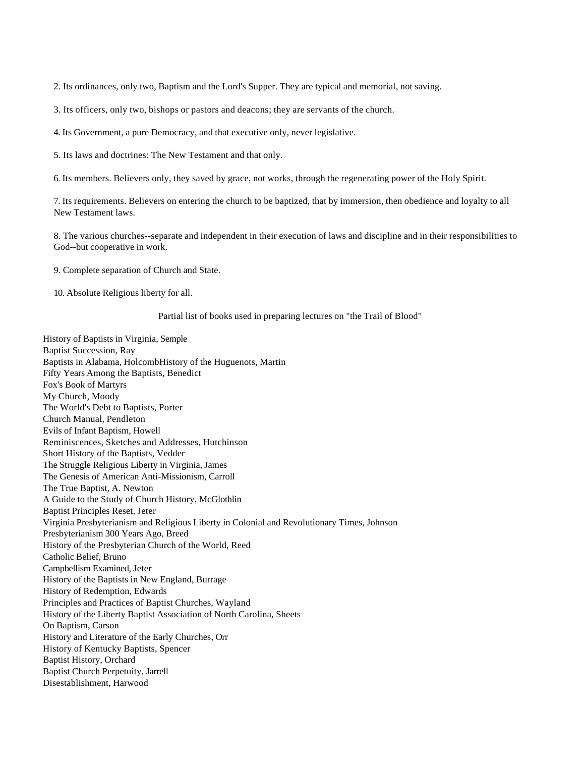2. Its ordinances, only two, Baptism and the Lord's Supper. They are typical and memorial, not saving.

3. Its officers, only two, bishops or pastors and deacons; they are servants of the church.

4. Its Government, a pure Democracy, and that executive only, never legislative.

5. Its laws and doctrines: The New Testament and that only.

6. Its members. Believers only, they saved by grace, not works, through the regenerating power of the Holy Spirit.

 7. Its requirements. Believers on entering the church to be baptized, that by immersion, then obedience and loyalty to all New Testament laws.

 8. The various churches--separate and independent in their execution of laws and discipline and in their responsibilities to God--but cooperative in work.

9. Complete separation of Church and State.

10. Absolute Religious liberty for all.

#### Partial list of books used in preparing lectures on "the Trail of Blood"

History of Baptists in Virginia, Semple Baptist Succession, Ray Baptists in Alabama, HolcombHistory of the Huguenots, Martin Fifty Years Among the Baptists, Benedict Fox's Book of Martyrs My Church, Moody The World's Debt to Baptists, Porter Church Manual, Pendleton Evils of Infant Baptism, Howell Reminiscences, Sketches and Addresses, Hutchinson Short History of the Baptists, Vedder The Struggle Religious Liberty in Virginia, James The Genesis of American Anti-Missionism, Carroll The True Baptist, A. Newton A Guide to the Study of Church History, McGlothlin Baptist Principles Reset, Jeter Virginia Presbyterianism and Religious Liberty in Colonial and Revolutionary Times, Johnson Presbyterianism 300 Years Ago, Breed History of the Presbyterian Church of the World, Reed Catholic Belief, Bruno Campbellism Examined, Jeter History of the Baptists in New England, Burrage History of Redemption, Edwards Principles and Practices of Baptist Churches, Wayland History of the Liberty Baptist Association of North Carolina, Sheets On Baptism, Carson History and Literature of the Early Churches, Orr History of Kentucky Baptists, Spencer Baptist History, Orchard Baptist Church Perpetuity, Jarrell Disestablishment, Harwood